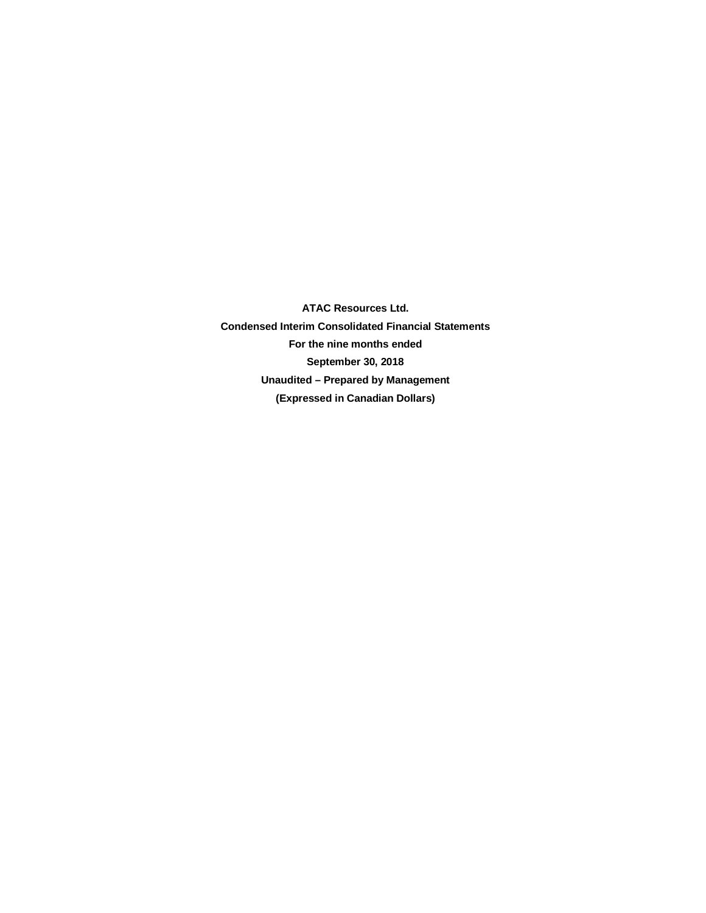**ATAC Resources Ltd. Condensed Interim Consolidated Financial Statements For the nine months ended September 30, 2018 Unaudited – Prepared by Management (Expressed in Canadian Dollars)**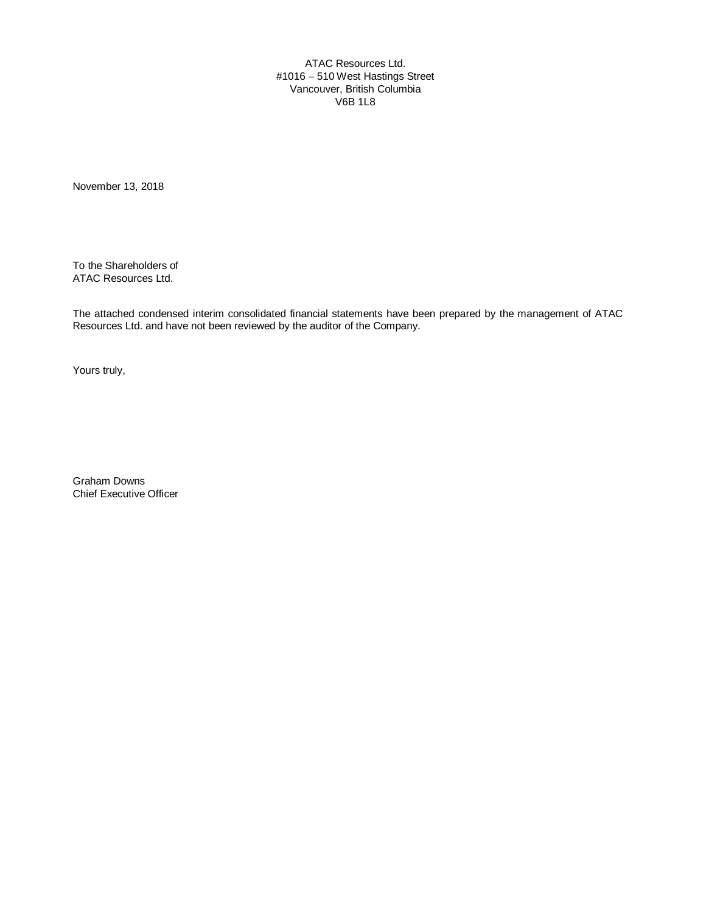ATAC Resources Ltd. #1016 – 510 West Hastings Street Vancouver, British Columbia V6B 1L8

November 13, 2018

To the Shareholders of ATAC Resources Ltd.

The attached condensed interim consolidated financial statements have been prepared by the management of ATAC Resources Ltd. and have not been reviewed by the auditor of the Company.

Yours truly,

Graham Downs Chief Executive Officer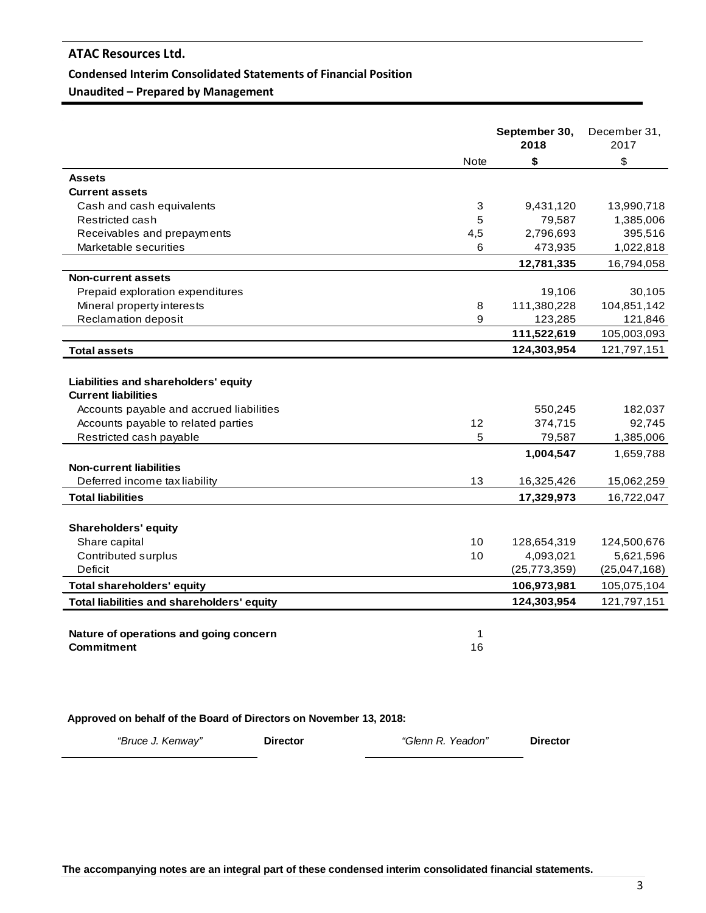#### **Condensed Interim Consolidated Statements of Financial Position**

**Unaudited – Prepared by Management**

|                                            |      | September 30,<br>2018 | December 31,<br>2017 |
|--------------------------------------------|------|-----------------------|----------------------|
|                                            | Note | \$                    | \$                   |
| <b>Assets</b>                              |      |                       |                      |
| <b>Current assets</b>                      |      |                       |                      |
| Cash and cash equivalents                  | 3    | 9,431,120             | 13,990,718           |
| Restricted cash                            | 5    | 79,587                | 1,385,006            |
| Receivables and prepayments                | 4,5  | 2,796,693             | 395,516              |
| Marketable securities                      | 6    | 473,935               | 1,022,818            |
|                                            |      | 12,781,335            | 16,794,058           |
| <b>Non-current assets</b>                  |      |                       |                      |
| Prepaid exploration expenditures           |      | 19,106                | 30,105               |
| Mineral property interests                 | 8    | 111,380,228           | 104,851,142          |
| Reclamation deposit                        | 9    | 123,285               | 121,846              |
|                                            |      | 111,522,619           | 105,003,093          |
| <b>Total assets</b>                        |      | 124,303,954           | 121,797,151          |
|                                            |      |                       |                      |
| Liabilities and shareholders' equity       |      |                       |                      |
| <b>Current liabilities</b>                 |      |                       |                      |
| Accounts payable and accrued liabilities   |      | 550,245               | 182,037              |
| Accounts payable to related parties        | 12   | 374,715               | 92,745               |
| Restricted cash payable                    | 5    | 79,587                | 1,385,006            |
|                                            |      | 1,004,547             | 1,659,788            |
| <b>Non-current liabilities</b>             |      |                       |                      |
| Deferred income tax liability              | 13   | 16,325,426            | 15,062,259           |
| <b>Total liabilities</b>                   |      | 17,329,973            | 16,722,047           |
|                                            |      |                       |                      |
| <b>Shareholders' equity</b>                |      |                       |                      |
| Share capital                              | 10   | 128,654,319           | 124,500,676          |
| Contributed surplus                        | 10   | 4,093,021             | 5,621,596            |
| Deficit                                    |      | (25, 773, 359)        | (25,047,168)         |
| <b>Total shareholders' equity</b>          |      | 106,973,981           | 105,075,104          |
| Total liabilities and shareholders' equity |      | 124,303,954           | 121,797,151          |
|                                            |      |                       |                      |
| Nature of operations and going concern     | 1    |                       |                      |
| <b>Commitment</b>                          | 16   |                       |                      |
|                                            |      |                       |                      |

**Approved on behalf of the Board of Directors on November 13, 2018:**

*"Bruce J. Kenway"* **Director** *"Glenn R. Yeadon"* **Director**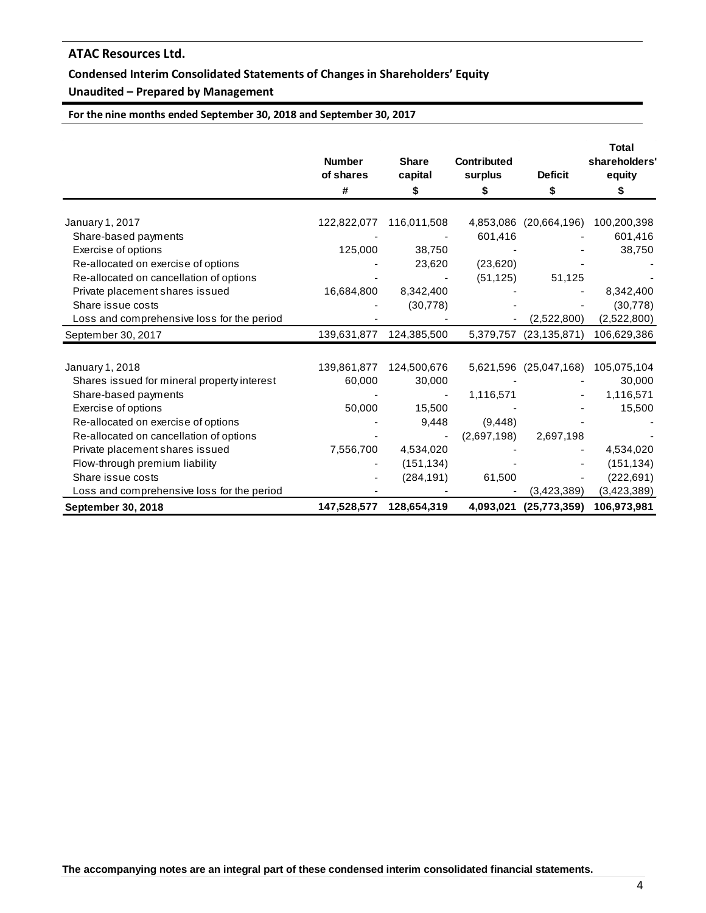## **Condensed Interim Consolidated Statements of Changes in Shareholders' Equity**

## **Unaudited – Prepared by Management**

**For the nine months ended September 30, 2018 and September 30, 2017**

|                                             | <b>Number</b><br>of shares<br># | <b>Share</b><br>capital<br>\$ | <b>Contributed</b><br>surplus<br>\$ | <b>Deficit</b><br>\$   | <b>Total</b><br>shareholders'<br>equity<br>S |
|---------------------------------------------|---------------------------------|-------------------------------|-------------------------------------|------------------------|----------------------------------------------|
| January 1, 2017                             | 122,822,077                     | 116,011,508                   | 4,853,086                           | (20,664,196)           | 100,200,398                                  |
| Share-based payments                        |                                 |                               | 601,416                             |                        | 601,416                                      |
| Exercise of options                         | 125,000                         | 38,750                        |                                     |                        | 38,750                                       |
| Re-allocated on exercise of options         |                                 | 23,620                        | (23,620)                            |                        |                                              |
| Re-allocated on cancellation of options     |                                 |                               | (51, 125)                           | 51,125                 |                                              |
| Private placement shares issued             | 16,684,800                      | 8,342,400                     |                                     |                        | 8,342,400                                    |
| Share issue costs                           |                                 | (30, 778)                     |                                     |                        | (30, 778)                                    |
| Loss and comprehensive loss for the period  |                                 |                               |                                     | (2,522,800)            | (2,522,800)                                  |
| September 30, 2017                          | 139,631,877                     | 124,385,500                   | 5,379,757                           | (23, 135, 871)         | 106,629,386                                  |
|                                             |                                 |                               |                                     |                        |                                              |
| January 1, 2018                             | 139,861,877                     | 124,500,676                   |                                     | 5,621,596 (25,047,168) | 105,075,104                                  |
| Shares issued for mineral property interest | 60,000                          | 30,000                        |                                     |                        | 30,000                                       |
| Share-based payments                        |                                 |                               | 1,116,571                           |                        | 1,116,571                                    |
| Exercise of options                         | 50,000                          | 15,500                        |                                     |                        | 15,500                                       |
| Re-allocated on exercise of options         |                                 | 9,448                         | (9, 448)                            |                        |                                              |
| Re-allocated on cancellation of options     |                                 |                               | (2,697,198)                         | 2,697,198              |                                              |
| Private placement shares issued             | 7,556,700                       | 4,534,020                     |                                     |                        | 4,534,020                                    |
| Flow-through premium liability              |                                 | (151, 134)                    |                                     |                        | (151, 134)                                   |
| Share issue costs                           |                                 | (284, 191)                    | 61,500                              |                        | (222, 691)                                   |
| Loss and comprehensive loss for the period  |                                 |                               |                                     | (3,423,389)            | (3,423,389)                                  |
| September 30, 2018                          | 147,528,577                     | 128,654,319                   | 4,093,021                           | (25, 773, 359)         | 106,973,981                                  |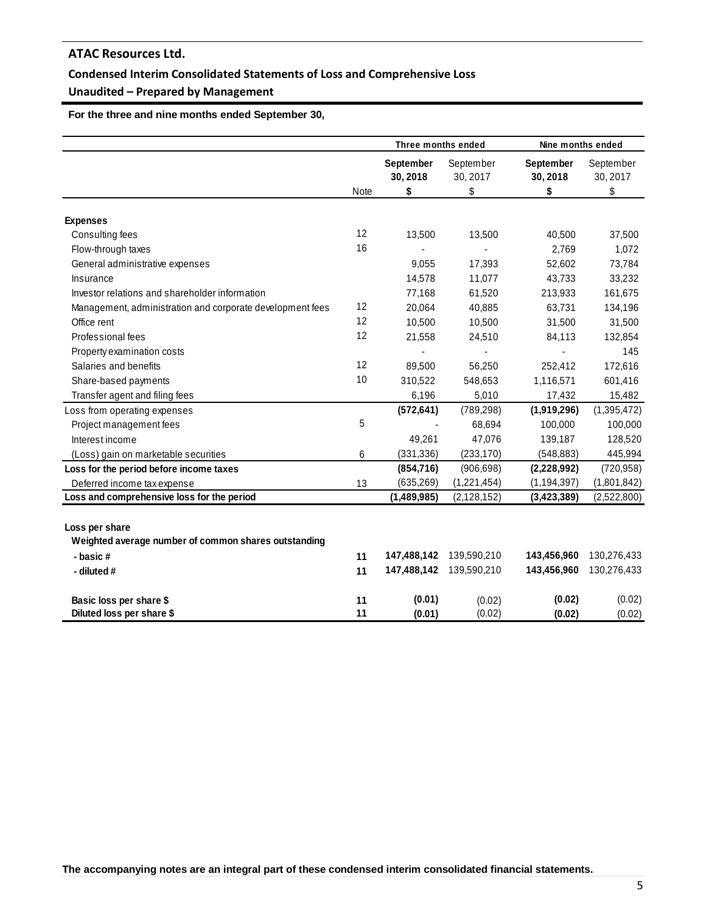## **Condensed Interim Consolidated Statements of Loss and Comprehensive Loss**

## **Unaudited – Prepared by Management**

 **For the three and nine months ended September 30,** 

|                                                           |      | Three months ended           |                       | Nine months ended            |                       |
|-----------------------------------------------------------|------|------------------------------|-----------------------|------------------------------|-----------------------|
|                                                           |      | <b>September</b><br>30, 2018 | September<br>30, 2017 | <b>September</b><br>30, 2018 | September<br>30, 2017 |
|                                                           | Note | \$                           | \$                    | \$                           | \$                    |
|                                                           |      |                              |                       |                              |                       |
| <b>Expenses</b>                                           |      |                              |                       |                              |                       |
| Consulting fees                                           | 12   | 13,500                       | 13,500                | 40,500                       | 37,500                |
| Flow-through taxes                                        | 16   |                              |                       | 2,769                        | 1,072                 |
| General administrative expenses                           |      | 9,055                        | 17,393                | 52,602                       | 73,784                |
| Insurance                                                 |      | 14,578                       | 11,077                | 43,733                       | 33,232                |
| Investor relations and shareholder information            |      | 77,168                       | 61,520                | 213,933                      | 161,675               |
| Management, administration and corporate development fees | 12   | 20,064                       | 40,885                | 63,731                       | 134,196               |
| Office rent                                               | 12   | 10,500                       | 10,500                | 31,500                       | 31,500                |
| Professional fees                                         | 12   | 21,558                       | 24,510                | 84,113                       | 132,854               |
| Property examination costs                                |      |                              |                       |                              | 145                   |
| Salaries and benefits                                     | 12   | 89,500                       | 56,250                | 252,412                      | 172,616               |
| Share-based payments                                      | 10   | 310,522                      | 548,653               | 1,116,571                    | 601,416               |
| Transfer agent and filing fees                            |      | 6,196                        | 5,010                 | 17,432                       | 15,482                |
| Loss from operating expenses                              |      | (572, 641)                   | (789, 298)            | (1,919,296)                  | (1,395,472)           |
| Project management fees                                   | 5    |                              | 68,694                | 100,000                      | 100,000               |
| Interest income                                           |      | 49,261                       | 47,076                | 139,187                      | 128,520               |
| (Loss) gain on marketable securities                      | 6    | (331, 336)                   | (233, 170)            | (548, 883)                   | 445,994               |
| Loss for the period before income taxes                   |      | (854, 716)                   | (906, 698)            | (2,228,992)                  | (720, 958)            |
| Deferred income tax expense                               | 13   | (635, 269)                   | (1,221,454)           | (1, 194, 397)                | (1,801,842)           |
| Loss and comprehensive loss for the period                |      | (1,489,985)                  | (2, 128, 152)         | (3, 423, 389)                | (2,522,800)           |
|                                                           |      |                              |                       |                              |                       |
| Loss per share                                            |      |                              |                       |                              |                       |
| Weighted average number of common shares outstanding      |      |                              |                       |                              |                       |
| - basic#                                                  | 11   | 147,488,142                  | 139,590,210           | 143,456,960                  | 130,276,433           |
| - diluted #                                               | 11   | 147,488,142                  | 139,590,210           | 143,456,960                  | 130,276,433           |
|                                                           |      |                              |                       |                              |                       |
| Basic loss per share \$                                   | 11   | (0.01)                       | (0.02)                | (0.02)                       | (0.02)                |
| Diluted loss per share \$                                 | 11   | (0.01)                       | (0.02)                | (0.02)                       | (0.02)                |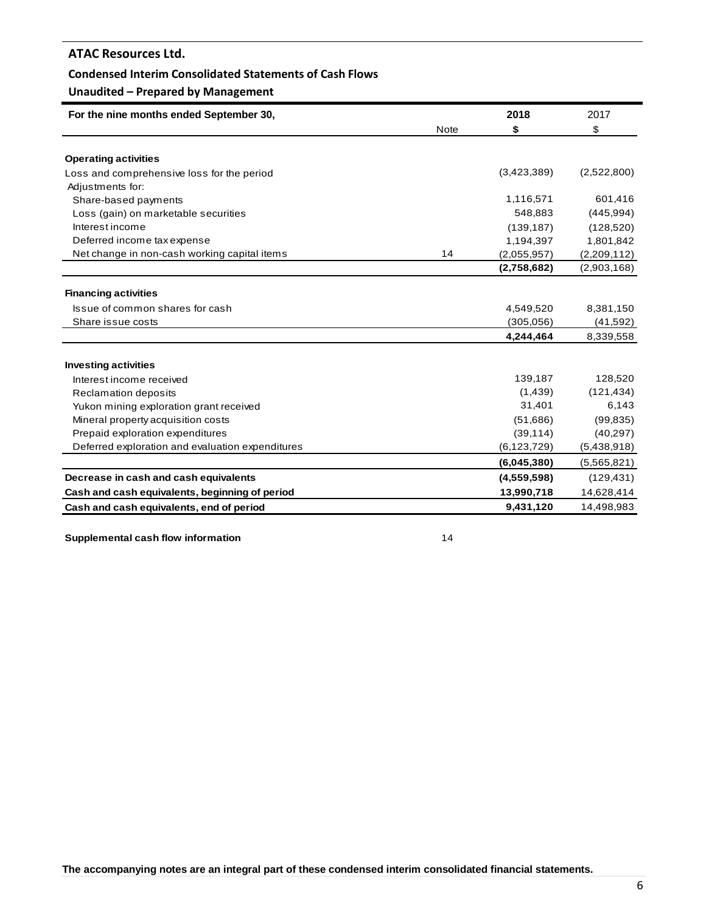#### **Condensed Interim Consolidated Statements of Cash Flows**

## **Unaudited – Prepared by Management**

| For the nine months ended September 30,          |             | 2018          | 2017        |
|--------------------------------------------------|-------------|---------------|-------------|
|                                                  | <b>Note</b> | \$            | \$          |
| <b>Operating activities</b>                      |             |               |             |
| Loss and comprehensive loss for the period       |             | (3,423,389)   | (2,522,800) |
| Adjustments for:                                 |             |               |             |
|                                                  |             | 1,116,571     | 601,416     |
| Share-based payments                             |             | 548,883       |             |
| Loss (gain) on marketable securities             |             |               | (445, 994)  |
| Interest income                                  |             | (139, 187)    | (128, 520)  |
| Deferred income tax expense                      |             | 1,194,397     | 1,801,842   |
| Net change in non-cash working capital items     | 14          | (2,055,957)   | (2,209,112) |
|                                                  |             | (2,758,682)   | (2,903,168) |
| <b>Financing activities</b>                      |             |               |             |
| Issue of common shares for cash                  |             | 4,549,520     | 8,381,150   |
| Share issue costs                                |             | (305,056)     | (41,592)    |
|                                                  |             | 4,244,464     | 8,339,558   |
|                                                  |             |               |             |
| <b>Investing activities</b>                      |             |               |             |
| Interest income received                         |             | 139,187       | 128,520     |
| Reclamation deposits                             |             | (1, 439)      | (121, 434)  |
| Yukon mining exploration grant received          |             | 31,401        | 6,143       |
| Mineral property acquisition costs               |             | (51,686)      | (99, 835)   |
| Prepaid exploration expenditures                 |             | (39, 114)     | (40, 297)   |
| Deferred exploration and evaluation expenditures |             | (6, 123, 729) | (5,438,918) |
|                                                  |             | (6,045,380)   | (5,565,821) |
| Decrease in cash and cash equivalents            |             | (4,559,598)   | (129, 431)  |
| Cash and cash equivalents, beginning of period   |             | 13,990,718    | 14,628,414  |
| Cash and cash equivalents, end of period         |             | 9,431,120     | 14,498,983  |

**Supplemental cash flow information** 14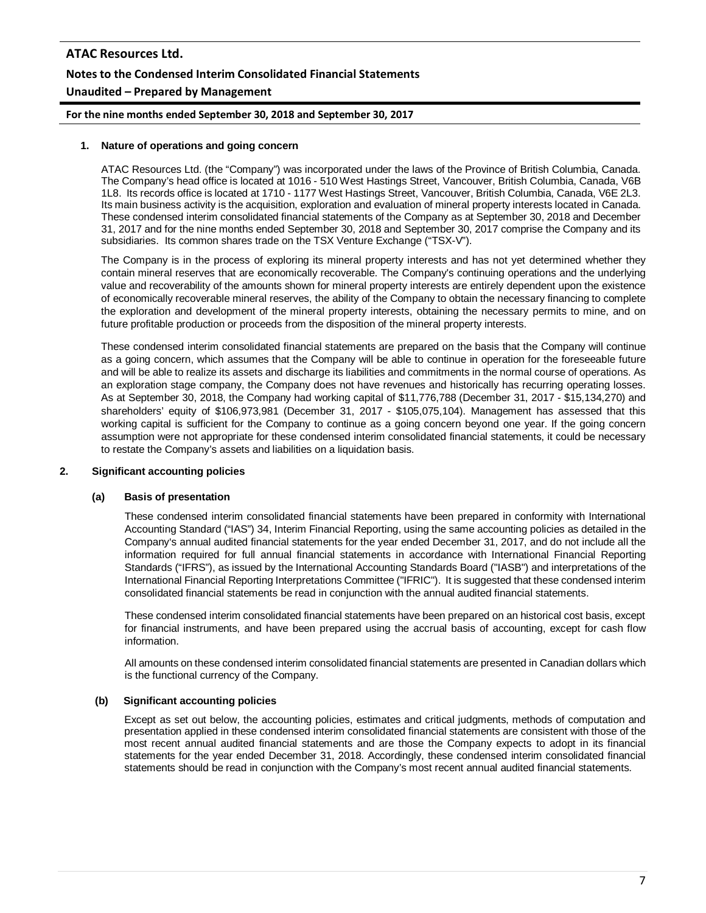**For the nine months ended September 30, 2018 and September 30, 2017**

#### **1. Nature of operations and going concern**

ATAC Resources Ltd. (the "Company") was incorporated under the laws of the Province of British Columbia, Canada. The Company's head office is located at 1016 - 510 West Hastings Street, Vancouver, British Columbia, Canada, V6B 1L8. Its records office is located at 1710 - 1177 West Hastings Street, Vancouver, British Columbia, Canada, V6E 2L3. Its main business activity is the acquisition, exploration and evaluation of mineral property interests located in Canada. These condensed interim consolidated financial statements of the Company as at September 30, 2018 and December 31, 2017 and for the nine months ended September 30, 2018 and September 30, 2017 comprise the Company and its subsidiaries. Its common shares trade on the TSX Venture Exchange ("TSX-V").

The Company is in the process of exploring its mineral property interests and has not yet determined whether they contain mineral reserves that are economically recoverable. The Company's continuing operations and the underlying value and recoverability of the amounts shown for mineral property interests are entirely dependent upon the existence of economically recoverable mineral reserves, the ability of the Company to obtain the necessary financing to complete the exploration and development of the mineral property interests, obtaining the necessary permits to mine, and on future profitable production or proceeds from the disposition of the mineral property interests.

These condensed interim consolidated financial statements are prepared on the basis that the Company will continue as a going concern, which assumes that the Company will be able to continue in operation for the foreseeable future and will be able to realize its assets and discharge its liabilities and commitments in the normal course of operations. As an exploration stage company, the Company does not have revenues and historically has recurring operating losses. As at September 30, 2018, the Company had working capital of \$11,776,788 (December 31, 2017 - \$15,134,270) and shareholders' equity of \$106,973,981 (December 31, 2017 - \$105,075,104). Management has assessed that this working capital is sufficient for the Company to continue as a going concern beyond one year. If the going concern assumption were not appropriate for these condensed interim consolidated financial statements, it could be necessary to restate the Company's assets and liabilities on a liquidation basis.

#### **2. Significant accounting policies**

#### **(a) Basis of presentation**

These condensed interim consolidated financial statements have been prepared in conformity with International Accounting Standard ("IAS") 34, Interim Financial Reporting, using the same accounting policies as detailed in the Company's annual audited financial statements for the year ended December 31, 2017, and do not include all the information required for full annual financial statements in accordance with International Financial Reporting Standards ("IFRS"), as issued by the International Accounting Standards Board ("IASB") and interpretations of the International Financial Reporting Interpretations Committee ("IFRIC"). It is suggested that these condensed interim consolidated financial statements be read in conjunction with the annual audited financial statements.

These condensed interim consolidated financial statements have been prepared on an historical cost basis, except for financial instruments, and have been prepared using the accrual basis of accounting, except for cash flow information.

All amounts on these condensed interim consolidated financial statements are presented in Canadian dollars which is the functional currency of the Company.

#### **(b) Significant accounting policies**

Except as set out below, the accounting policies, estimates and critical judgments, methods of computation and presentation applied in these condensed interim consolidated financial statements are consistent with those of the most recent annual audited financial statements and are those the Company expects to adopt in its financial statements for the year ended December 31, 2018. Accordingly, these condensed interim consolidated financial statements should be read in conjunction with the Company's most recent annual audited financial statements.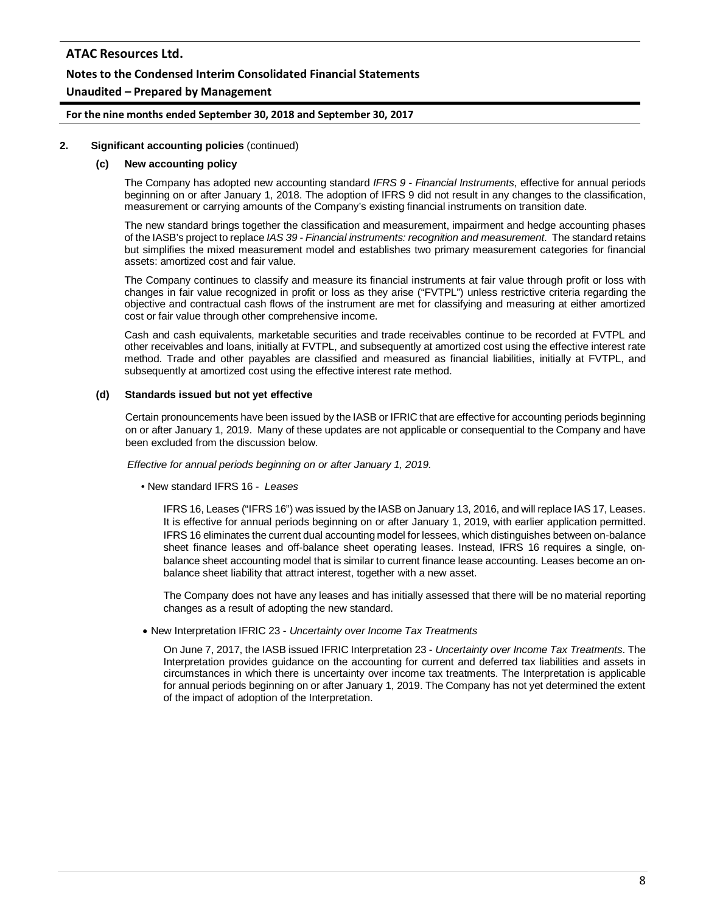#### **Notes to the Condensed Interim Consolidated Financial Statements**

#### **Unaudited – Prepared by Management**

#### **For the nine months ended September 30, 2018 and September 30, 2017**

#### **2. Significant accounting policies** (continued)

#### **(c) New accounting policy**

The Company has adopted new accounting standard *IFRS 9 - Financial Instruments*, effective for annual periods beginning on or after January 1, 2018. The adoption of IFRS 9 did not result in any changes to the classification, measurement or carrying amounts of the Company's existing financial instruments on transition date.

The new standard brings together the classification and measurement, impairment and hedge accounting phases of the IASB's project to replace *IAS 39 - Financial instruments: recognition and measurement*. The standard retains but simplifies the mixed measurement model and establishes two primary measurement categories for financial assets: amortized cost and fair value.

The Company continues to classify and measure its financial instruments at fair value through profit or loss with changes in fair value recognized in profit or loss as they arise ("FVTPL") unless restrictive criteria regarding the objective and contractual cash flows of the instrument are met for classifying and measuring at either amortized cost or fair value through other comprehensive income.

Cash and cash equivalents, marketable securities and trade receivables continue to be recorded at FVTPL and other receivables and loans, initially at FVTPL, and subsequently at amortized cost using the effective interest rate method. Trade and other payables are classified and measured as financial liabilities, initially at FVTPL, and subsequently at amortized cost using the effective interest rate method.

#### **(d) Standards issued but not yet effective**

Certain pronouncements have been issued by the IASB or IFRIC that are effective for accounting periods beginning on or after January 1, 2019. Many of these updates are not applicable or consequential to the Company and have been excluded from the discussion below.

*Effective for annual periods beginning on or after January 1, 2019.*

• New standard IFRS 16 - *Leases*

IFRS 16, Leases ("IFRS 16") was issued by the IASB on January 13, 2016, and will replace IAS 17, Leases. It is effective for annual periods beginning on or after January 1, 2019, with earlier application permitted. IFRS 16 eliminates the current dual accounting model for lessees, which distinguishes between on-balance sheet finance leases and off-balance sheet operating leases. Instead, IFRS 16 requires a single, onbalance sheet accounting model that is similar to current finance lease accounting. Leases become an onbalance sheet liability that attract interest, together with a new asset.

The Company does not have any leases and has initially assessed that there will be no material reporting changes as a result of adopting the new standard.

• New Interpretation IFRIC 23 - *Uncertainty over Income Tax Treatments*

On June 7, 2017, the IASB issued IFRIC Interpretation 23 - *Uncertainty over Income Tax Treatments*. The Interpretation provides guidance on the accounting for current and deferred tax liabilities and assets in circumstances in which there is uncertainty over income tax treatments. The Interpretation is applicable for annual periods beginning on or after January 1, 2019. The Company has not yet determined the extent of the impact of adoption of the Interpretation.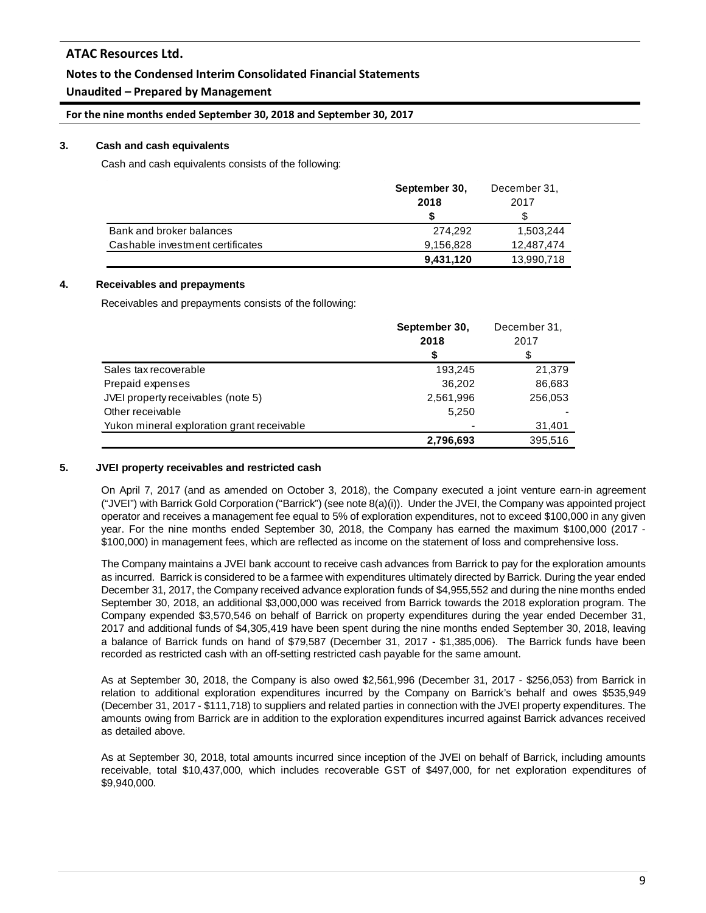## **Notes to the Condensed Interim Consolidated Financial Statements**

## **Unaudited – Prepared by Management**

**For the nine months ended September 30, 2018 and September 30, 2017**

#### **3. Cash and cash equivalents**

Cash and cash equivalents consists of the following:

|                                  | September 30, | December 31, |
|----------------------------------|---------------|--------------|
|                                  | 2018          | 2017         |
|                                  |               |              |
| Bank and broker balances         | 274.292       | 1,503,244    |
| Cashable investment certificates | 9,156,828     | 12.487.474   |
|                                  | 9,431,120     | 13,990,718   |

#### **4. Receivables and prepayments**

Receivables and prepayments consists of the following:

|                                            | September 30,<br>2018 | December 31,<br>2017 |
|--------------------------------------------|-----------------------|----------------------|
|                                            | S                     | S                    |
| Sales tax recoverable                      | 193,245               | 21,379               |
| Prepaid expenses                           | 36,202                | 86,683               |
| JVEI property receivables (note 5)         | 2,561,996             | 256,053              |
| Other receivable                           | 5,250                 |                      |
| Yukon mineral exploration grant receivable |                       | 31,401               |
|                                            | 2,796,693             | 395,516              |

#### **5. JVEI property receivables and restricted cash**

On April 7, 2017 (and as amended on October 3, 2018), the Company executed a joint venture earn-in agreement ("JVEI") with Barrick Gold Corporation ("Barrick") (see note 8(a)(i)). Under the JVEI, the Company was appointed project operator and receives a management fee equal to 5% of exploration expenditures, not to exceed \$100,000 in any given year. For the nine months ended September 30, 2018, the Company has earned the maximum \$100,000 (2017 - \$100,000) in management fees, which are reflected as income on the statement of loss and comprehensive loss.

The Company maintains a JVEI bank account to receive cash advances from Barrick to pay for the exploration amounts as incurred. Barrick is considered to be a farmee with expenditures ultimately directed by Barrick. During the year ended December 31, 2017, the Company received advance exploration funds of \$4,955,552 and during the nine months ended September 30, 2018, an additional \$3,000,000 was received from Barrick towards the 2018 exploration program. The Company expended \$3,570,546 on behalf of Barrick on property expenditures during the year ended December 31, 2017 and additional funds of \$4,305,419 have been spent during the nine months ended September 30, 2018, leaving a balance of Barrick funds on hand of \$79,587 (December 31, 2017 - \$1,385,006). The Barrick funds have been recorded as restricted cash with an off-setting restricted cash payable for the same amount.

As at September 30, 2018, the Company is also owed \$2,561,996 (December 31, 2017 - \$256,053) from Barrick in relation to additional exploration expenditures incurred by the Company on Barrick's behalf and owes \$535,949 (December 31, 2017 - \$111,718) to suppliers and related parties in connection with the JVEI property expenditures. The amounts owing from Barrick are in addition to the exploration expenditures incurred against Barrick advances received as detailed above.

As at September 30, 2018, total amounts incurred since inception of the JVEI on behalf of Barrick, including amounts receivable, total \$10,437,000, which includes recoverable GST of \$497,000, for net exploration expenditures of \$9,940,000.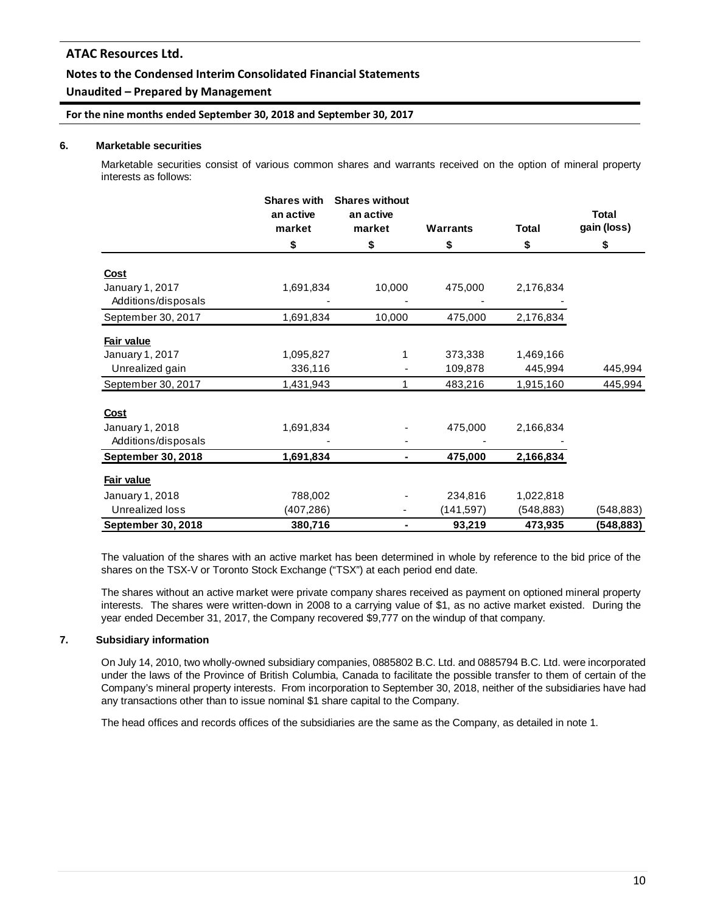#### **Notes to the Condensed Interim Consolidated Financial Statements**

## **Unaudited – Prepared by Management**

#### **For the nine months ended September 30, 2018 and September 30, 2017**

#### **6. Marketable securities**

Marketable securities consist of various common shares and warrants received on the option of mineral property interests as follows:

|                           | <b>Shares with</b><br>an active | <b>Shares without</b><br>an active |                 |              | <b>Total</b> |
|---------------------------|---------------------------------|------------------------------------|-----------------|--------------|--------------|
|                           | market                          | market                             | <b>Warrants</b> | <b>Total</b> | gain (loss)  |
|                           | \$                              | \$                                 | \$              | \$           | \$           |
| Cost                      |                                 |                                    |                 |              |              |
| January 1, 2017           | 1,691,834                       | 10,000                             | 475,000         | 2,176,834    |              |
| Additions/disposals       |                                 |                                    |                 |              |              |
| September 30, 2017        | 1,691,834                       | 10,000                             | 475,000         | 2,176,834    |              |
| Fair value                |                                 |                                    |                 |              |              |
| January 1, 2017           | 1,095,827                       | 1                                  | 373,338         | 1,469,166    |              |
| Unrealized gain           | 336,116                         |                                    | 109,878         | 445,994      | 445,994      |
| September 30, 2017        | 1,431,943                       | 1                                  | 483,216         | 1,915,160    | 445,994      |
| <b>Cost</b>               |                                 |                                    |                 |              |              |
| January 1, 2018           | 1,691,834                       |                                    | 475,000         | 2,166,834    |              |
| Additions/disposals       |                                 |                                    |                 |              |              |
| <b>September 30, 2018</b> | 1,691,834                       | ٠                                  | 475,000         | 2,166,834    |              |
| Fair value                |                                 |                                    |                 |              |              |
| January 1, 2018           | 788,002                         |                                    | 234,816         | 1,022,818    |              |
| Unrealized loss           | (407, 286)                      |                                    | (141, 597)      | (548, 883)   | (548, 883)   |
| September 30, 2018        | 380,716                         | ۰                                  | 93,219          | 473,935      | (548, 883)   |

The valuation of the shares with an active market has been determined in whole by reference to the bid price of the shares on the TSX-V or Toronto Stock Exchange ("TSX") at each period end date.

The shares without an active market were private company shares received as payment on optioned mineral property interests. The shares were written-down in 2008 to a carrying value of \$1, as no active market existed. During the year ended December 31, 2017, the Company recovered \$9,777 on the windup of that company.

#### **7. Subsidiary information**

On July 14, 2010, two wholly-owned subsidiary companies, 0885802 B.C. Ltd. and 0885794 B.C. Ltd. were incorporated under the laws of the Province of British Columbia, Canada to facilitate the possible transfer to them of certain of the Company's mineral property interests. From incorporation to September 30, 2018, neither of the subsidiaries have had any transactions other than to issue nominal \$1 share capital to the Company.

The head offices and records offices of the subsidiaries are the same as the Company, as detailed in note 1.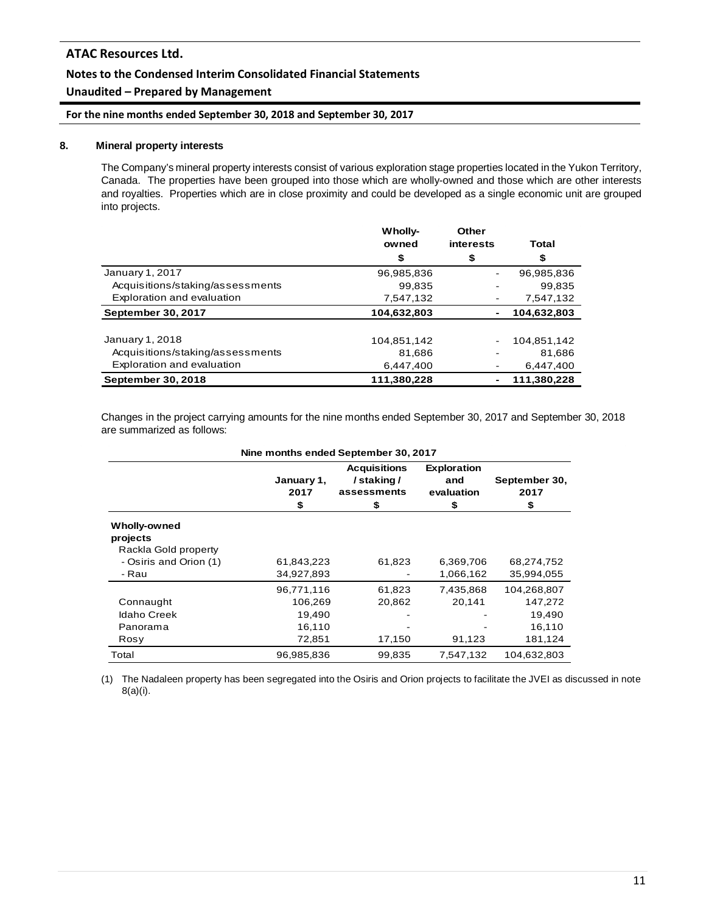## **Notes to the Condensed Interim Consolidated Financial Statements**

## **Unaudited – Prepared by Management**

**For the nine months ended September 30, 2018 and September 30, 2017**

#### **8. Mineral property interests**

The Company's mineral property interests consist of various exploration stage properties located in the Yukon Territory, Canada. The properties have been grouped into those which are wholly-owned and those which are other interests and royalties. Properties which are in close proximity and could be developed as a single economic unit are grouped into projects.

|                                  | Wholly-     | Other     |             |
|----------------------------------|-------------|-----------|-------------|
|                                  | owned       | interests | Total       |
|                                  | \$          | \$        | \$          |
| January 1, 2017                  | 96,985,836  |           | 96,985,836  |
| Acquisitions/staking/assessments | 99.835      |           | 99.835      |
| Exploration and evaluation       | 7,547,132   |           | 7,547,132   |
| <b>September 30, 2017</b>        | 104,632,803 |           | 104,632,803 |
|                                  |             |           |             |
| January 1, 2018                  | 104,851,142 |           | 104,851,142 |
| Acquisitions/staking/assessments | 81.686      |           | 81.686      |
| Exploration and evaluation       | 6,447,400   |           | 6,447,400   |
| September 30, 2018               | 111,380,228 |           | 111,380,228 |

Changes in the project carrying amounts for the nine months ended September 30, 2017 and September 30, 2018 are summarized as follows:

| Nine months ended September 30, 2017                    |                                 |                                                       |                                              |                                  |  |
|---------------------------------------------------------|---------------------------------|-------------------------------------------------------|----------------------------------------------|----------------------------------|--|
|                                                         | January 1,<br>2017<br>\$        | <b>Acquisitions</b><br>/staking/<br>assessments<br>\$ | <b>Exploration</b><br>and<br>evaluation<br>S | September 30,<br>2017<br>\$      |  |
| <b>Wholly-owned</b><br>projects<br>Rackla Gold property |                                 |                                                       |                                              |                                  |  |
| - Osiris and Orion (1)<br>- Rau                         | 61,843,223<br>34,927,893        | 61,823                                                | 6,369,706<br>1,066,162                       | 68,274,752<br>35,994,055         |  |
| Connaught<br><b>Idaho Creek</b>                         | 96,771,116<br>106,269<br>19,490 | 61,823<br>20,862                                      | 7,435,868<br>20,141                          | 104,268,807<br>147,272<br>19,490 |  |
| Panorama<br>Rosy<br>Total                               | 16,110<br>72,851<br>96,985,836  | 17,150<br>99,835                                      | 91,123<br>7,547,132                          | 16,110<br>181,124<br>104,632,803 |  |

(1) The Nadaleen property has been segregated into the Osiris and Orion projects to facilitate the JVEI as discussed in note 8(a)(i).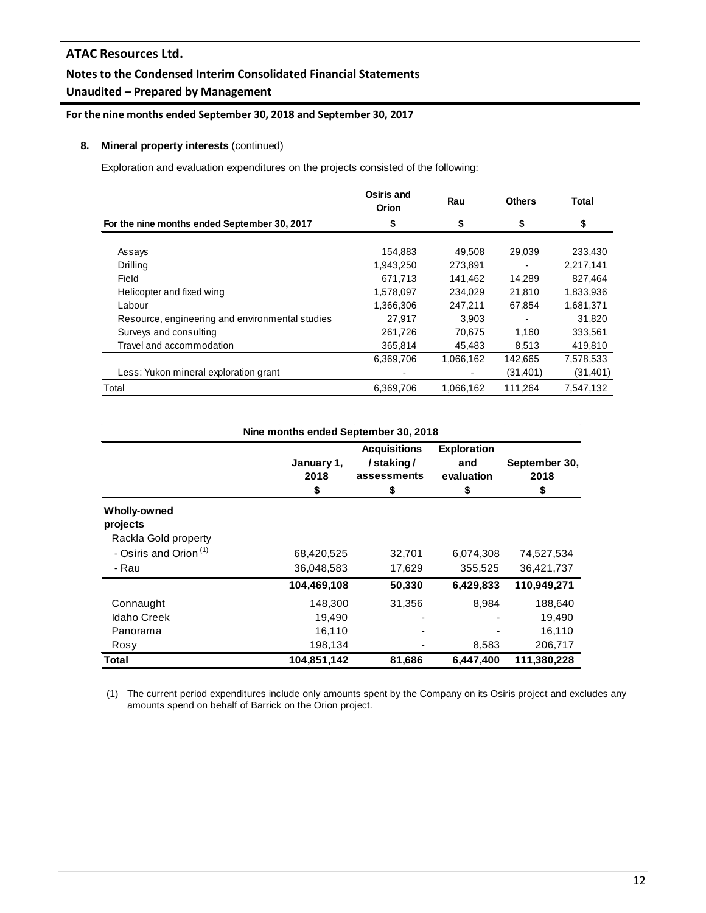## **Notes to the Condensed Interim Consolidated Financial Statements**

## **Unaudited – Prepared by Management**

## **For the nine months ended September 30, 2018 and September 30, 2017**

#### **8. Mineral property interests** (continued)

Exploration and evaluation expenditures on the projects consisted of the following:

|                                                 | Osiris and<br>Orion | Rau       | <b>Others</b> | Total     |
|-------------------------------------------------|---------------------|-----------|---------------|-----------|
| For the nine months ended September 30, 2017    | \$                  | \$        | \$            | \$        |
| Assays                                          | 154,883             | 49,508    | 29,039        | 233,430   |
| Drilling                                        | 1,943,250           | 273,891   |               | 2,217,141 |
| Field                                           | 671.713             | 141,462   | 14.289        | 827.464   |
| Helicopter and fixed wing                       | 1,578,097           | 234,029   | 21,810        | 1,833,936 |
| Labour                                          | 1,366,306           | 247,211   | 67,854        | 1,681,371 |
| Resource, engineering and environmental studies | 27.917              | 3.903     |               | 31.820    |
| Surveys and consulting                          | 261,726             | 70.675    | 1.160         | 333,561   |
| Travel and accommodation                        | 365,814             | 45,483    | 8,513         | 419,810   |
|                                                 | 6,369,706           | 1,066,162 | 142,665       | 7,578,533 |
| Less: Yukon mineral exploration grant           |                     |           | (31, 401)     | (31, 401) |
| Total                                           | 6,369,706           | 1,066,162 | 111,264       | 7,547,132 |

|                                   | Nine months ended September 30, 2018 |                                                       |                                               |                             |
|-----------------------------------|--------------------------------------|-------------------------------------------------------|-----------------------------------------------|-----------------------------|
|                                   | January 1,<br>2018<br>\$             | <b>Acquisitions</b><br>/staking/<br>assessments<br>\$ | <b>Exploration</b><br>and<br>evaluation<br>\$ | September 30,<br>2018<br>\$ |
| Wholly-owned<br>projects          |                                      |                                                       |                                               |                             |
| Rackla Gold property              |                                      |                                                       |                                               |                             |
| - Osiris and Orion <sup>(1)</sup> | 68,420,525                           | 32,701                                                | 6,074,308                                     | 74,527,534                  |
| - Rau                             | 36,048,583                           | 17,629                                                | 355,525                                       | 36,421,737                  |
|                                   | 104,469,108                          | 50,330                                                | 6,429,833                                     | 110,949,271                 |
| Connaught                         | 148,300                              | 31,356                                                | 8.984                                         | 188,640                     |
| <b>Idaho Creek</b>                | 19,490                               |                                                       |                                               | 19,490                      |
| Panorama                          | 16,110                               |                                                       |                                               | 16,110                      |
| Rosy                              | 198,134                              |                                                       | 8,583                                         | 206,717                     |
| Total                             | 104,851,142                          | 81,686                                                | 6,447,400                                     | 111,380,228                 |

(1) The current period expenditures include only amounts spent by the Company on its Osiris project and excludes any amounts spend on behalf of Barrick on the Orion project.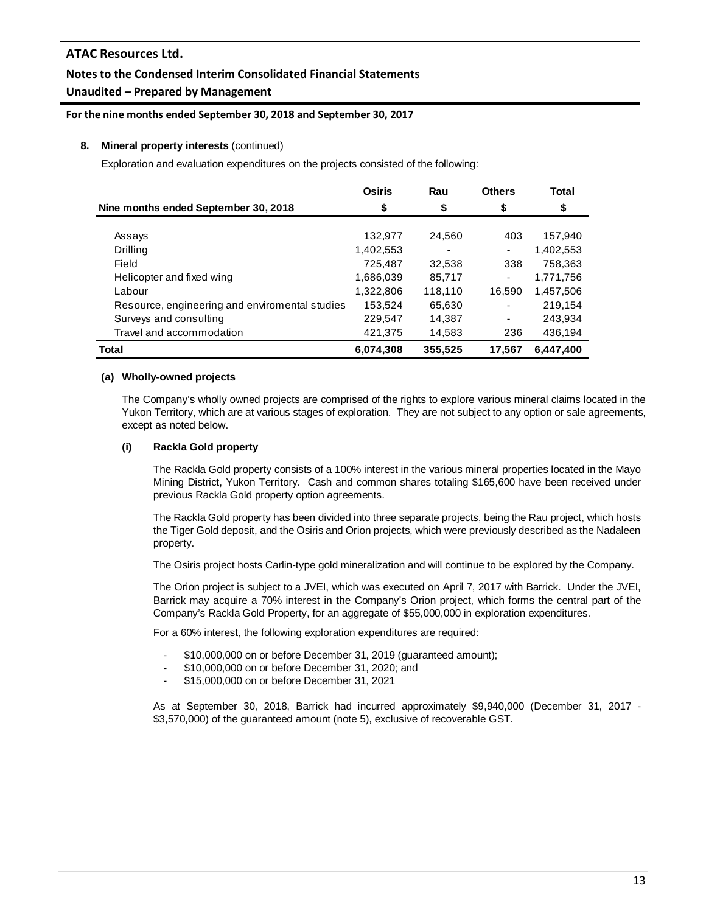## **Notes to the Condensed Interim Consolidated Financial Statements**

## **Unaudited – Prepared by Management**

#### **For the nine months ended September 30, 2018 and September 30, 2017**

#### **8. Mineral property interests** (continued)

Exploration and evaluation expenditures on the projects consisted of the following:

|                                                | <b>Osiris</b> | Rau     | <b>Others</b> | Total     |
|------------------------------------------------|---------------|---------|---------------|-----------|
| Nine months ended September 30, 2018           | \$            | \$      | \$            | \$        |
|                                                |               |         |               |           |
| Assays                                         | 132,977       | 24,560  | 403           | 157,940   |
| Drilling                                       | 1,402,553     |         | ۰             | 1,402,553 |
| Field                                          | 725,487       | 32,538  | 338           | 758,363   |
| Helicopter and fixed wing                      | 1,686,039     | 85,717  | ۰             | 1,771,756 |
| Labour                                         | 1,322,806     | 118,110 | 16.590        | 1,457,506 |
| Resource, engineering and enviromental studies | 153,524       | 65,630  | ۰             | 219,154   |
| Surveys and consulting                         | 229,547       | 14,387  | ۰             | 243,934   |
| Travel and accommodation                       | 421,375       | 14,583  | 236           | 436,194   |
| Total                                          | 6,074,308     | 355,525 | 17.567        | 6,447,400 |

#### **(a) Wholly-owned projects**

The Company's wholly owned projects are comprised of the rights to explore various mineral claims located in the Yukon Territory, which are at various stages of exploration. They are not subject to any option or sale agreements, except as noted below.

#### **(i) Rackla Gold property**

The Rackla Gold property consists of a 100% interest in the various mineral properties located in the Mayo Mining District, Yukon Territory. Cash and common shares totaling \$165,600 have been received under previous Rackla Gold property option agreements.

The Rackla Gold property has been divided into three separate projects, being the Rau project, which hosts the Tiger Gold deposit, and the Osiris and Orion projects, which were previously described as the Nadaleen property.

The Osiris project hosts Carlin-type gold mineralization and will continue to be explored by the Company.

The Orion project is subject to a JVEI, which was executed on April 7, 2017 with Barrick. Under the JVEI, Barrick may acquire a 70% interest in the Company's Orion project, which forms the central part of the Company's Rackla Gold Property, for an aggregate of \$55,000,000 in exploration expenditures.

For a 60% interest, the following exploration expenditures are required:

- \$10,000,000 on or before December 31, 2019 (guaranteed amount);
- \$10,000,000 on or before December 31, 2020; and
- \$15,000,000 on or before December 31, 2021

As at September 30, 2018, Barrick had incurred approximately \$9,940,000 (December 31, 2017 - \$3,570,000) of the guaranteed amount (note 5), exclusive of recoverable GST.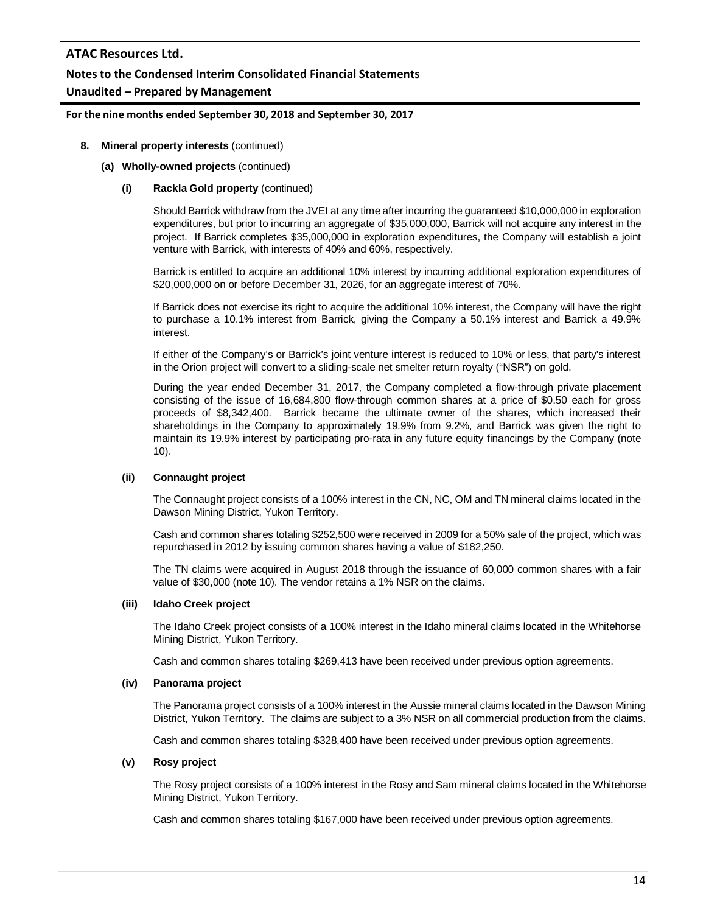## **Notes to the Condensed Interim Consolidated Financial Statements**

## **Unaudited – Prepared by Management**

#### **For the nine months ended September 30, 2018 and September 30, 2017**

#### **8. Mineral property interests** (continued)

#### **(a) Wholly-owned projects** (continued)

#### **(i) Rackla Gold property** (continued)

Should Barrick withdraw from the JVEI at any time after incurring the guaranteed \$10,000,000 in exploration expenditures, but prior to incurring an aggregate of \$35,000,000, Barrick will not acquire any interest in the project. If Barrick completes \$35,000,000 in exploration expenditures, the Company will establish a joint venture with Barrick, with interests of 40% and 60%, respectively.

Barrick is entitled to acquire an additional 10% interest by incurring additional exploration expenditures of \$20,000,000 on or before December 31, 2026, for an aggregate interest of 70%.

If Barrick does not exercise its right to acquire the additional 10% interest, the Company will have the right to purchase a 10.1% interest from Barrick, giving the Company a 50.1% interest and Barrick a 49.9% interest.

If either of the Company's or Barrick's joint venture interest is reduced to 10% or less, that party's interest in the Orion project will convert to a sliding-scale net smelter return royalty ("NSR") on gold.

During the year ended December 31, 2017, the Company completed a flow-through private placement consisting of the issue of 16,684,800 flow-through common shares at a price of \$0.50 each for gross proceeds of \$8,342,400. Barrick became the ultimate owner of the shares, which increased their shareholdings in the Company to approximately 19.9% from 9.2%, and Barrick was given the right to maintain its 19.9% interest by participating pro-rata in any future equity financings by the Company (note 10).

#### **(ii) Connaught project**

The Connaught project consists of a 100% interest in the CN, NC, OM and TN mineral claims located in the Dawson Mining District, Yukon Territory.

Cash and common shares totaling \$252,500 were received in 2009 for a 50% sale of the project, which was repurchased in 2012 by issuing common shares having a value of \$182,250.

The TN claims were acquired in August 2018 through the issuance of 60,000 common shares with a fair value of \$30,000 (note 10). The vendor retains a 1% NSR on the claims.

#### **(iii) Idaho Creek project**

The Idaho Creek project consists of a 100% interest in the Idaho mineral claims located in the Whitehorse Mining District, Yukon Territory.

Cash and common shares totaling \$269,413 have been received under previous option agreements.

#### **(iv) Panorama project**

The Panorama project consists of a 100% interest in the Aussie mineral claims located in the Dawson Mining District, Yukon Territory. The claims are subject to a 3% NSR on all commercial production from the claims.

Cash and common shares totaling \$328,400 have been received under previous option agreements.

#### **(v) Rosy project**

The Rosy project consists of a 100% interest in the Rosy and Sam mineral claims located in the Whitehorse Mining District, Yukon Territory.

Cash and common shares totaling \$167,000 have been received under previous option agreements.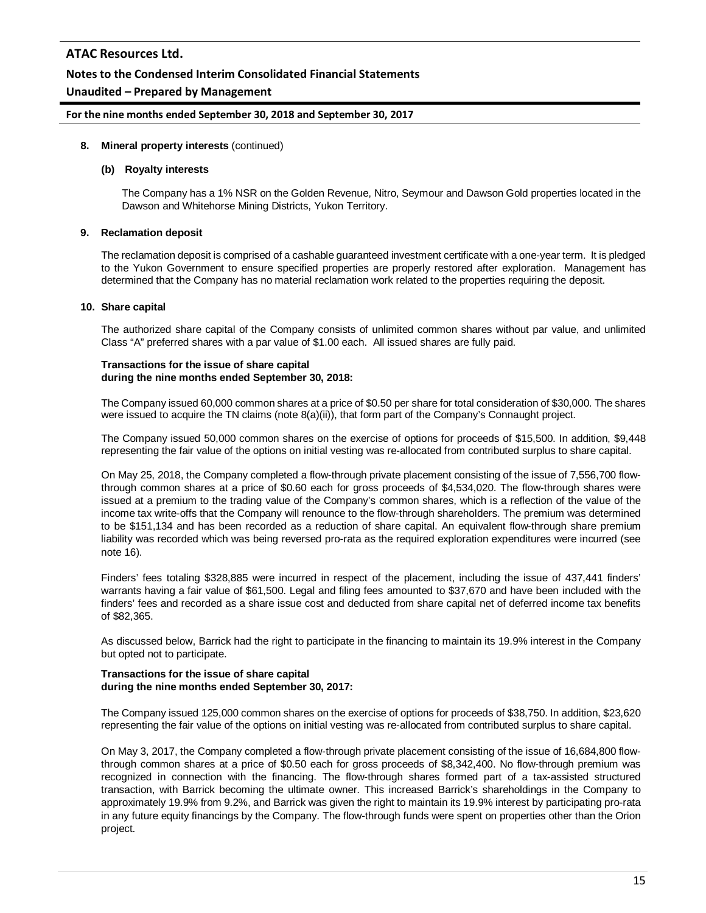#### **Notes to the Condensed Interim Consolidated Financial Statements**

## **Unaudited – Prepared by Management**

#### **For the nine months ended September 30, 2018 and September 30, 2017**

#### **8. Mineral property interests** (continued)

#### **(b) Royalty interests**

The Company has a 1% NSR on the Golden Revenue, Nitro, Seymour and Dawson Gold properties located in the Dawson and Whitehorse Mining Districts, Yukon Territory.

#### **9. Reclamation deposit**

The reclamation deposit is comprised of a cashable guaranteed investment certificate with a one-year term. It is pledged to the Yukon Government to ensure specified properties are properly restored after exploration. Management has determined that the Company has no material reclamation work related to the properties requiring the deposit.

#### **10. Share capital**

The authorized share capital of the Company consists of unlimited common shares without par value, and unlimited Class "A" preferred shares with a par value of \$1.00 each. All issued shares are fully paid.

#### **Transactions for the issue of share capital during the nine months ended September 30, 2018:**

The Company issued 60,000 common shares at a price of \$0.50 per share for total consideration of \$30,000. The shares were issued to acquire the TN claims (note 8(a)(ii)), that form part of the Company's Connaught project.

The Company issued 50,000 common shares on the exercise of options for proceeds of \$15,500. In addition, \$9,448 representing the fair value of the options on initial vesting was re-allocated from contributed surplus to share capital.

On May 25, 2018, the Company completed a flow-through private placement consisting of the issue of 7,556,700 flowthrough common shares at a price of \$0.60 each for gross proceeds of \$4,534,020. The flow-through shares were issued at a premium to the trading value of the Company's common shares, which is a reflection of the value of the income tax write-offs that the Company will renounce to the flow-through shareholders. The premium was determined to be \$151,134 and has been recorded as a reduction of share capital. An equivalent flow-through share premium liability was recorded which was being reversed pro-rata as the required exploration expenditures were incurred (see note 16).

Finders' fees totaling \$328,885 were incurred in respect of the placement, including the issue of 437,441 finders' warrants having a fair value of \$61,500. Legal and filing fees amounted to \$37,670 and have been included with the finders' fees and recorded as a share issue cost and deducted from share capital net of deferred income tax benefits of \$82,365.

As discussed below, Barrick had the right to participate in the financing to maintain its 19.9% interest in the Company but opted not to participate.

#### **Transactions for the issue of share capital during the nine months ended September 30, 2017:**

The Company issued 125,000 common shares on the exercise of options for proceeds of \$38,750. In addition, \$23,620 representing the fair value of the options on initial vesting was re-allocated from contributed surplus to share capital.

On May 3, 2017, the Company completed a flow-through private placement consisting of the issue of 16,684,800 flowthrough common shares at a price of \$0.50 each for gross proceeds of \$8,342,400. No flow-through premium was recognized in connection with the financing. The flow-through shares formed part of a tax-assisted structured transaction, with Barrick becoming the ultimate owner. This increased Barrick's shareholdings in the Company to approximately 19.9% from 9.2%, and Barrick was given the right to maintain its 19.9% interest by participating pro-rata in any future equity financings by the Company. The flow-through funds were spent on properties other than the Orion project.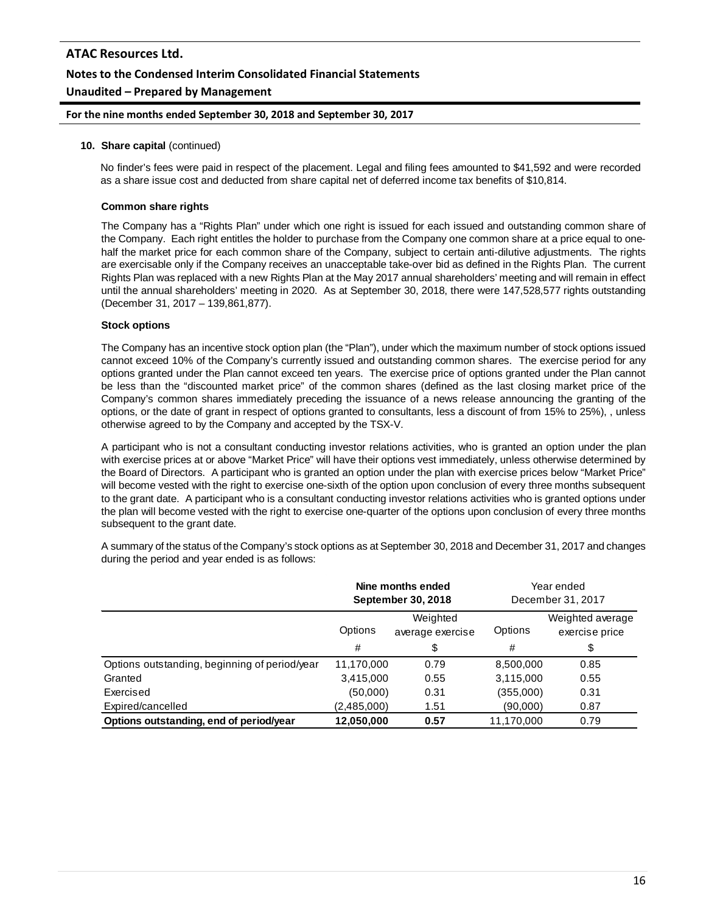#### **For the nine months ended September 30, 2018 and September 30, 2017**

#### **10. Share capital** (continued)

No finder's fees were paid in respect of the placement. Legal and filing fees amounted to \$41,592 and were recorded as a share issue cost and deducted from share capital net of deferred income tax benefits of \$10,814.

#### **Common share rights**

The Company has a "Rights Plan" under which one right is issued for each issued and outstanding common share of the Company. Each right entitles the holder to purchase from the Company one common share at a price equal to onehalf the market price for each common share of the Company, subject to certain anti-dilutive adjustments. The rights are exercisable only if the Company receives an unacceptable take-over bid as defined in the Rights Plan. The current Rights Plan was replaced with a new Rights Plan at the May 2017 annual shareholders' meeting and will remain in effect until the annual shareholders' meeting in 2020. As at September 30, 2018, there were 147,528,577 rights outstanding (December 31, 2017 – 139,861,877).

#### **Stock options**

The Company has an incentive stock option plan (the "Plan"), under which the maximum number of stock options issued cannot exceed 10% of the Company's currently issued and outstanding common shares. The exercise period for any options granted under the Plan cannot exceed ten years. The exercise price of options granted under the Plan cannot be less than the "discounted market price" of the common shares (defined as the last closing market price of the Company's common shares immediately preceding the issuance of a news release announcing the granting of the options, or the date of grant in respect of options granted to consultants, less a discount of from 15% to 25%), , unless otherwise agreed to by the Company and accepted by the TSX-V.

A participant who is not a consultant conducting investor relations activities, who is granted an option under the plan with exercise prices at or above "Market Price" will have their options vest immediately, unless otherwise determined by the Board of Directors. A participant who is granted an option under the plan with exercise prices below "Market Price" will become vested with the right to exercise one-sixth of the option upon conclusion of every three months subsequent to the grant date. A participant who is a consultant conducting investor relations activities who is granted options under the plan will become vested with the right to exercise one-quarter of the options upon conclusion of every three months subsequent to the grant date.

A summary of the status of the Company's stock options as at September 30, 2018 and December 31, 2017 and changes during the period and year ended is as follows:

|                                               | Nine months ended<br>September 30, 2018 |      | Year ended<br>December 31, 2017 |                                    |
|-----------------------------------------------|-----------------------------------------|------|---------------------------------|------------------------------------|
|                                               | Weighted<br>Options<br>average exercise |      | Options                         | Weighted average<br>exercise price |
|                                               | #                                       | \$   | #                               | \$                                 |
| Options outstanding, beginning of period/year | 11,170,000                              | 0.79 | 8,500,000                       | 0.85                               |
| Granted                                       | 3,415,000                               | 0.55 | 3,115,000                       | 0.55                               |
| Exercised                                     | (50,000)                                | 0.31 | (355,000)                       | 0.31                               |
| Expired/cancelled                             | (2,485,000)                             | 1.51 | (90,000)                        | 0.87                               |
| Options outstanding, end of period/year       | 12,050,000                              | 0.57 | 11,170,000                      | 0.79                               |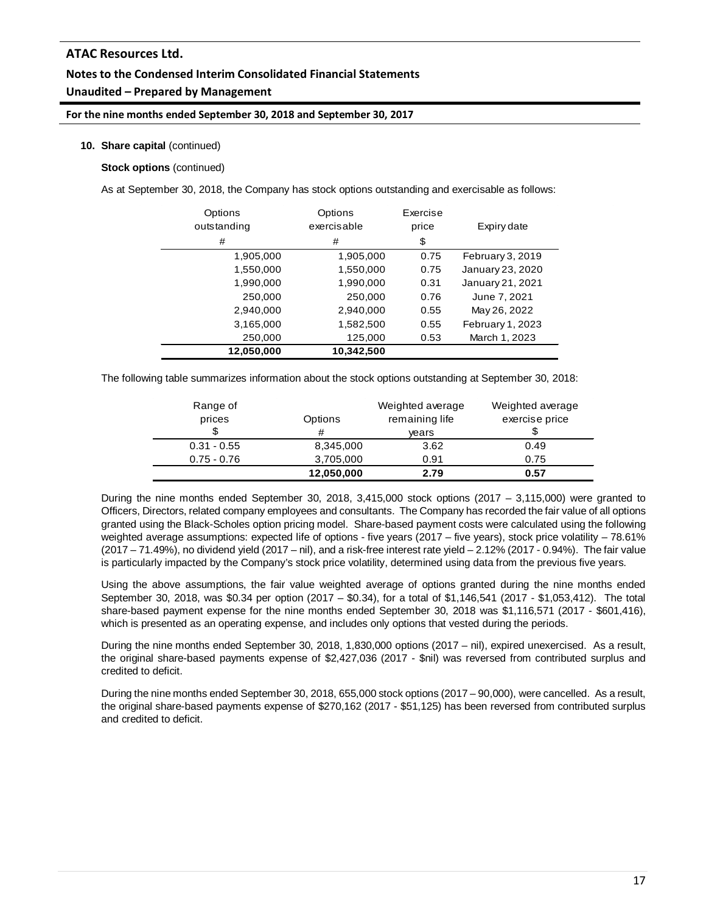# **Notes to the Condensed Interim Consolidated Financial Statements**

## **Unaudited – Prepared by Management**

#### **For the nine months ended September 30, 2018 and September 30, 2017**

#### **10. Share capital** (continued)

## **Stock options** (continued)

As at September 30, 2018, the Company has stock options outstanding and exercisable as follows:

| Options<br>outstanding<br># | Options<br>exercisable<br># | Exercise<br>price<br>\$ | Expiry date      |
|-----------------------------|-----------------------------|-------------------------|------------------|
| 1,905,000                   | 1,905,000                   | 0.75                    | February 3, 2019 |
| 1,550,000                   | 1,550,000                   | 0.75                    | January 23, 2020 |
| 1,990,000                   | 1,990,000                   | 0.31                    | January 21, 2021 |
| 250,000                     | 250.000                     | 0.76                    | June 7, 2021     |
| 2,940,000                   | 2,940,000                   | 0.55                    | May 26, 2022     |
| 3,165,000                   | 1,582,500                   | 0.55                    | February 1, 2023 |
| 250,000                     | 125,000                     | 0.53                    | March 1, 2023    |
| 12,050,000                  | 10,342,500                  |                         |                  |

The following table summarizes information about the stock options outstanding at September 30, 2018:

| Range of<br>prices | Options<br># | Weighted average<br>remaining life<br>vears | Weighted average<br>exercise price |
|--------------------|--------------|---------------------------------------------|------------------------------------|
| $0.31 - 0.55$      | 8,345,000    | 3.62                                        | 0.49                               |
| $0.75 - 0.76$      | 3,705,000    | 0.91                                        | 0.75                               |
|                    | 12,050,000   | 2.79                                        | 0.57                               |

During the nine months ended September 30, 2018, 3,415,000 stock options (2017 – 3,115,000) were granted to Officers, Directors, related company employees and consultants. The Company has recorded the fair value of all options granted using the Black-Scholes option pricing model. Share-based payment costs were calculated using the following weighted average assumptions: expected life of options - five years (2017 – five years), stock price volatility – 78.61% (2017 – 71.49%), no dividend yield (2017 – nil), and a risk-free interest rate yield – 2.12% (2017 - 0.94%). The fair value is particularly impacted by the Company's stock price volatility, determined using data from the previous five years.

Using the above assumptions, the fair value weighted average of options granted during the nine months ended September 30, 2018, was \$0.34 per option (2017 – \$0.34), for a total of \$1,146,541 (2017 - \$1,053,412). The total share-based payment expense for the nine months ended September 30, 2018 was \$1,116,571 (2017 - \$601,416), which is presented as an operating expense, and includes only options that vested during the periods.

During the nine months ended September 30, 2018, 1,830,000 options (2017 – nil), expired unexercised. As a result, the original share-based payments expense of \$2,427,036 (2017 - \$nil) was reversed from contributed surplus and credited to deficit.

During the nine months ended September 30, 2018, 655,000 stock options (2017 – 90,000), were cancelled. As a result, the original share-based payments expense of \$270,162 (2017 - \$51,125) has been reversed from contributed surplus and credited to deficit.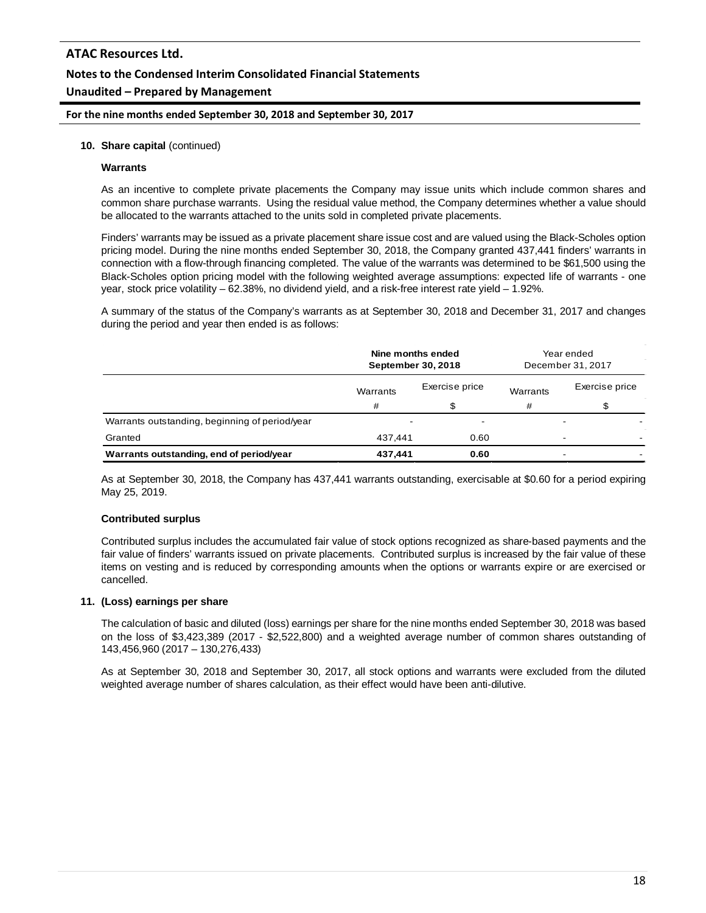**For the nine months ended September 30, 2018 and September 30, 2017**

#### **10. Share capital** (continued)

#### **Warrants**

As an incentive to complete private placements the Company may issue units which include common shares and common share purchase warrants. Using the residual value method, the Company determines whether a value should be allocated to the warrants attached to the units sold in completed private placements.

Finders' warrants may be issued as a private placement share issue cost and are valued using the Black-Scholes option pricing model. During the nine months ended September 30, 2018, the Company granted 437,441 finders' warrants in connection with a flow-through financing completed. The value of the warrants was determined to be \$61,500 using the Black-Scholes option pricing model with the following weighted average assumptions: expected life of warrants - one year, stock price volatility – 62.38%, no dividend yield, and a risk-free interest rate yield – 1.92%.

A summary of the status of the Company's warrants as at September 30, 2018 and December 31, 2017 and changes during the period and year then ended is as follows:

|                                                | Nine months ended<br>September 30, 2018 |                | Year ended<br>December 31, 2017 |                          |
|------------------------------------------------|-----------------------------------------|----------------|---------------------------------|--------------------------|
|                                                | Warrants                                | Exercise price | Warrants                        | Exercise price           |
|                                                | #                                       | \$             | #                               |                          |
| Warrants outstanding, beginning of period/year | $\blacksquare$                          | $\blacksquare$ |                                 |                          |
| Granted                                        | 437.441                                 | 0.60           |                                 | $\overline{\phantom{0}}$ |
| Warrants outstanding, end of period/year       | 437,441                                 | 0.60           |                                 | $\overline{\phantom{0}}$ |

As at September 30, 2018, the Company has 437,441 warrants outstanding, exercisable at \$0.60 for a period expiring May 25, 2019.

#### **Contributed surplus**

Contributed surplus includes the accumulated fair value of stock options recognized as share-based payments and the fair value of finders' warrants issued on private placements. Contributed surplus is increased by the fair value of these items on vesting and is reduced by corresponding amounts when the options or warrants expire or are exercised or cancelled.

#### **11. (Loss) earnings per share**

The calculation of basic and diluted (loss) earnings per share for the nine months ended September 30, 2018 was based on the loss of \$3,423,389 (2017 - \$2,522,800) and a weighted average number of common shares outstanding of 143,456,960 (2017 – 130,276,433)

As at September 30, 2018 and September 30, 2017, all stock options and warrants were excluded from the diluted weighted average number of shares calculation, as their effect would have been anti-dilutive.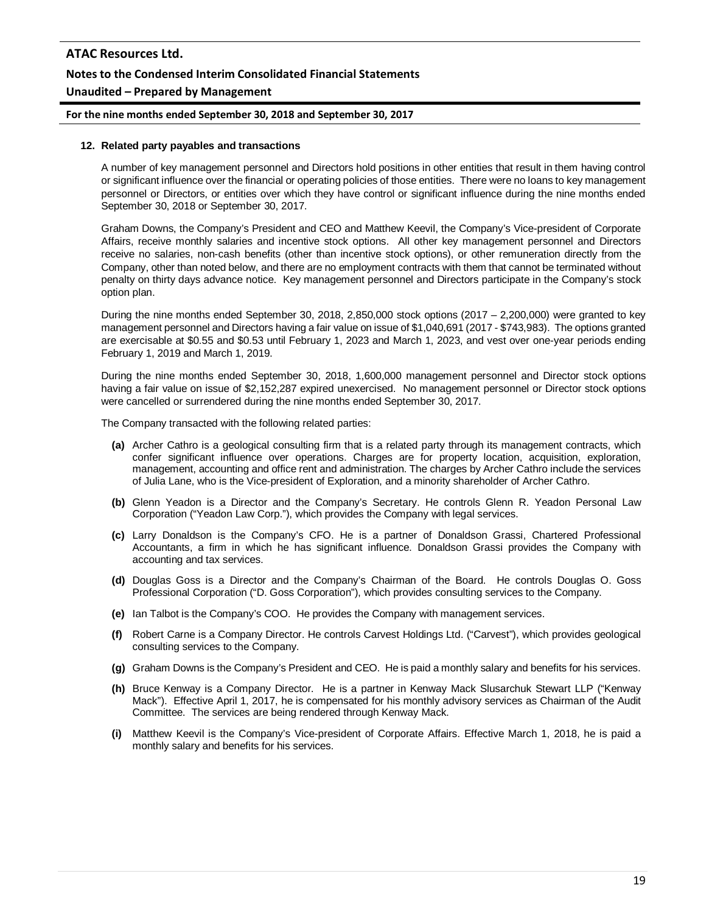#### **For the nine months ended September 30, 2018 and September 30, 2017**

#### **12. Related party payables and transactions**

A number of key management personnel and Directors hold positions in other entities that result in them having control or significant influence over the financial or operating policies of those entities. There were no loans to key management personnel or Directors, or entities over which they have control or significant influence during the nine months ended September 30, 2018 or September 30, 2017.

Graham Downs, the Company's President and CEO and Matthew Keevil, the Company's Vice-president of Corporate Affairs, receive monthly salaries and incentive stock options. All other key management personnel and Directors receive no salaries, non-cash benefits (other than incentive stock options), or other remuneration directly from the Company, other than noted below, and there are no employment contracts with them that cannot be terminated without penalty on thirty days advance notice. Key management personnel and Directors participate in the Company's stock option plan.

During the nine months ended September 30, 2018, 2,850,000 stock options (2017 – 2,200,000) were granted to key management personnel and Directors having a fair value on issue of \$1,040,691 (2017 - \$743,983). The options granted are exercisable at \$0.55 and \$0.53 until February 1, 2023 and March 1, 2023, and vest over one-year periods ending February 1, 2019 and March 1, 2019.

During the nine months ended September 30, 2018, 1,600,000 management personnel and Director stock options having a fair value on issue of \$2,152,287 expired unexercised. No management personnel or Director stock options were cancelled or surrendered during the nine months ended September 30, 2017.

The Company transacted with the following related parties:

- **(a)** Archer Cathro is a geological consulting firm that is a related party through its management contracts, which confer significant influence over operations. Charges are for property location, acquisition, exploration, management, accounting and office rent and administration. The charges by Archer Cathro include the services of Julia Lane, who is the Vice-president of Exploration, and a minority shareholder of Archer Cathro.
- **(b)** Glenn Yeadon is a Director and the Company's Secretary. He controls Glenn R. Yeadon Personal Law Corporation ("Yeadon Law Corp."), which provides the Company with legal services.
- **(c)** Larry Donaldson is the Company's CFO. He is a partner of Donaldson Grassi, Chartered Professional Accountants, a firm in which he has significant influence. Donaldson Grassi provides the Company with accounting and tax services.
- **(d)** Douglas Goss is a Director and the Company's Chairman of the Board. He controls Douglas O. Goss Professional Corporation ("D. Goss Corporation"), which provides consulting services to the Company.
- **(e)** Ian Talbot is the Company's COO. He provides the Company with management services.
- **(f)** Robert Carne is a Company Director. He controls Carvest Holdings Ltd. ("Carvest"), which provides geological consulting services to the Company.
- **(g)** Graham Downs is the Company's President and CEO. He is paid a monthly salary and benefits for his services.
- **(h)** Bruce Kenway is a Company Director. He is a partner in Kenway Mack Slusarchuk Stewart LLP ("Kenway Mack"). Effective April 1, 2017, he is compensated for his monthly advisory services as Chairman of the Audit Committee. The services are being rendered through Kenway Mack.
- **(i)** Matthew Keevil is the Company's Vice-president of Corporate Affairs. Effective March 1, 2018, he is paid a monthly salary and benefits for his services.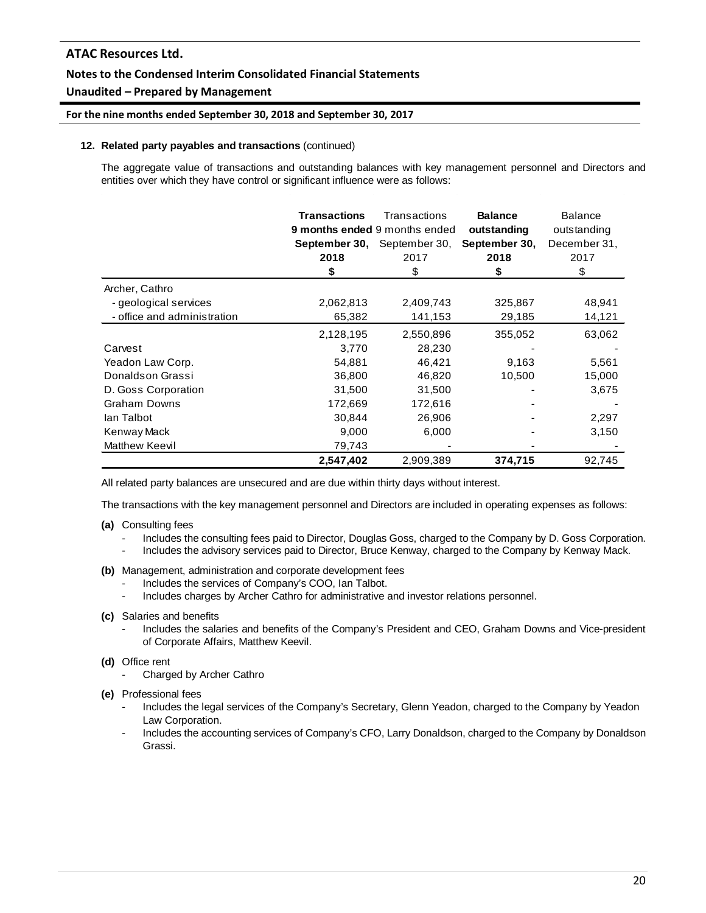## **Notes to the Condensed Interim Consolidated Financial Statements**

## **Unaudited – Prepared by Management**

#### **For the nine months ended September 30, 2018 and September 30, 2017**

#### **12. Related party payables and transactions** (continued)

The aggregate value of transactions and outstanding balances with key management personnel and Directors and entities over which they have control or significant influence were as follows:

|                             | <b>Transactions</b><br>2018<br>S | Transactions<br>9 months ended 9 months ended<br><b>September 30, September 30,</b><br>2017<br>\$ | <b>Balance</b><br>outstanding<br>September 30,<br>2018<br>S | <b>Balance</b><br>outstanding<br>December 31,<br>2017<br>\$ |
|-----------------------------|----------------------------------|---------------------------------------------------------------------------------------------------|-------------------------------------------------------------|-------------------------------------------------------------|
| Archer, Cathro              |                                  |                                                                                                   |                                                             |                                                             |
| - geological services       | 2,062,813                        | 2,409,743                                                                                         | 325,867                                                     | 48,941                                                      |
| - office and administration | 65,382                           | 141,153                                                                                           | 29,185                                                      | 14,121                                                      |
|                             | 2,128,195                        | 2,550,896                                                                                         | 355,052                                                     | 63,062                                                      |
| Carvest                     | 3,770                            | 28,230                                                                                            |                                                             |                                                             |
| Yeadon Law Corp.            | 54,881                           | 46,421                                                                                            | 9,163                                                       | 5,561                                                       |
| Donaldson Grassi            | 36,800                           | 46,820                                                                                            | 10,500                                                      | 15,000                                                      |
| D. Goss Corporation         | 31,500                           | 31,500                                                                                            |                                                             | 3,675                                                       |
| <b>Graham Downs</b>         | 172,669                          | 172,616                                                                                           |                                                             |                                                             |
| lan Talbot                  | 30,844                           | 26,906                                                                                            |                                                             | 2,297                                                       |
| Kenway Mack                 | 9,000                            | 6,000                                                                                             |                                                             | 3,150                                                       |
| Matthew Keevil              | 79,743                           |                                                                                                   |                                                             |                                                             |
|                             | 2,547,402                        | 2,909,389                                                                                         | 374,715                                                     | 92,745                                                      |

All related party balances are unsecured and are due within thirty days without interest.

The transactions with the key management personnel and Directors are included in operating expenses as follows:

- **(a)** Consulting fees
	- Includes the consulting fees paid to Director, Douglas Goss, charged to the Company by D. Goss Corporation.
	- Includes the advisory services paid to Director, Bruce Kenway, charged to the Company by Kenway Mack.
- **(b)** Management, administration and corporate development fees
	- Includes the services of Company's COO, Ian Talbot.
	- Includes charges by Archer Cathro for administrative and investor relations personnel.
- **(c)** Salaries and benefits
	- Includes the salaries and benefits of the Company's President and CEO, Graham Downs and Vice-president of Corporate Affairs, Matthew Keevil.
- **(d)** Office rent
	- Charged by Archer Cathro
- **(e)** Professional fees
	- Includes the legal services of the Company's Secretary, Glenn Yeadon, charged to the Company by Yeadon Law Corporation.
	- Includes the accounting services of Company's CFO, Larry Donaldson, charged to the Company by Donaldson Grassi.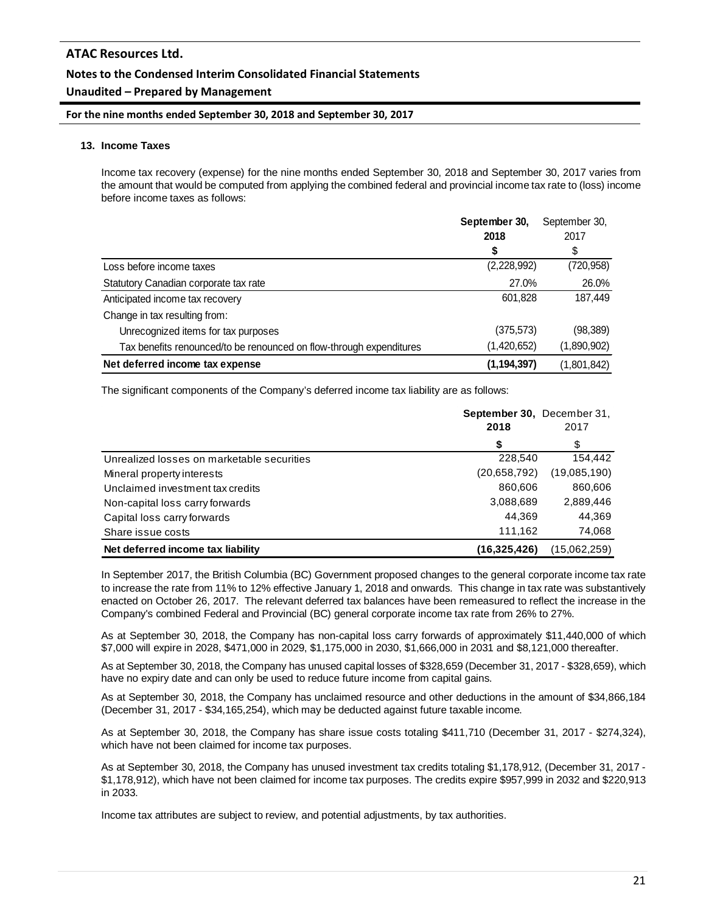## **Notes to the Condensed Interim Consolidated Financial Statements**

#### **Unaudited – Prepared by Management**

#### **For the nine months ended September 30, 2018 and September 30, 2017**

#### **13. Income Taxes**

Income tax recovery (expense) for the nine months ended September 30, 2018 and September 30, 2017 varies from the amount that would be computed from applying the combined federal and provincial income tax rate to (loss) income before income taxes as follows:

|                                                                     | September 30, | September 30, |
|---------------------------------------------------------------------|---------------|---------------|
|                                                                     | 2018          | 2017          |
|                                                                     | \$            | \$            |
| Loss before income taxes                                            | (2,228,992)   | (720,958)     |
| Statutory Canadian corporate tax rate                               | 27.0%         | 26.0%         |
| Anticipated income tax recovery                                     | 601,828       | 187,449       |
| Change in tax resulting from:                                       |               |               |
| Unrecognized items for tax purposes                                 | (375, 573)    | (98, 389)     |
| Tax benefits renounced/to be renounced on flow-through expenditures | (1,420,652)   | (1,890,902)   |
| Net deferred income tax expense                                     | (1, 194, 397) | (1,801,842)   |

The significant components of the Company's deferred income tax liability are as follows:

|                                            | September 30, December 31,<br>2018 | 2017         |
|--------------------------------------------|------------------------------------|--------------|
|                                            | \$                                 | \$           |
| Unrealized losses on marketable securities | 228,540                            | 154,442      |
| Mineral property interests                 | (20.658, 792)                      | (19,085,190) |
| Unclaimed investment tax credits           | 860,606                            | 860,606      |
| Non-capital loss carry forwards            | 3,088,689                          | 2,889,446    |
| Capital loss carry forwards                | 44.369                             | 44.369       |
| Share issue costs                          | 111,162                            | 74,068       |
| Net deferred income tax liability          | (16.325.426)                       | (15,062,259) |

In September 2017, the British Columbia (BC) Government proposed changes to the general corporate income tax rate to increase the rate from 11% to 12% effective January 1, 2018 and onwards. This change in tax rate was substantively enacted on October 26, 2017. The relevant deferred tax balances have been remeasured to reflect the increase in the Company's combined Federal and Provincial (BC) general corporate income tax rate from 26% to 27%.

As at September 30, 2018, the Company has non-capital loss carry forwards of approximately \$11,440,000 of which \$7,000 will expire in 2028, \$471,000 in 2029, \$1,175,000 in 2030, \$1,666,000 in 2031 and \$8,121,000 thereafter.

As at September 30, 2018, the Company has unused capital losses of \$328,659 (December 31, 2017 - \$328,659), which have no expiry date and can only be used to reduce future income from capital gains.

As at September 30, 2018, the Company has unclaimed resource and other deductions in the amount of \$34,866,184 (December 31, 2017 - \$34,165,254), which may be deducted against future taxable income.

As at September 30, 2018, the Company has share issue costs totaling \$411,710 (December 31, 2017 - \$274,324), which have not been claimed for income tax purposes.

As at September 30, 2018, the Company has unused investment tax credits totaling \$1,178,912, (December 31, 2017 - \$1,178,912), which have not been claimed for income tax purposes. The credits expire \$957,999 in 2032 and \$220,913 in 2033.

Income tax attributes are subject to review, and potential adjustments, by tax authorities.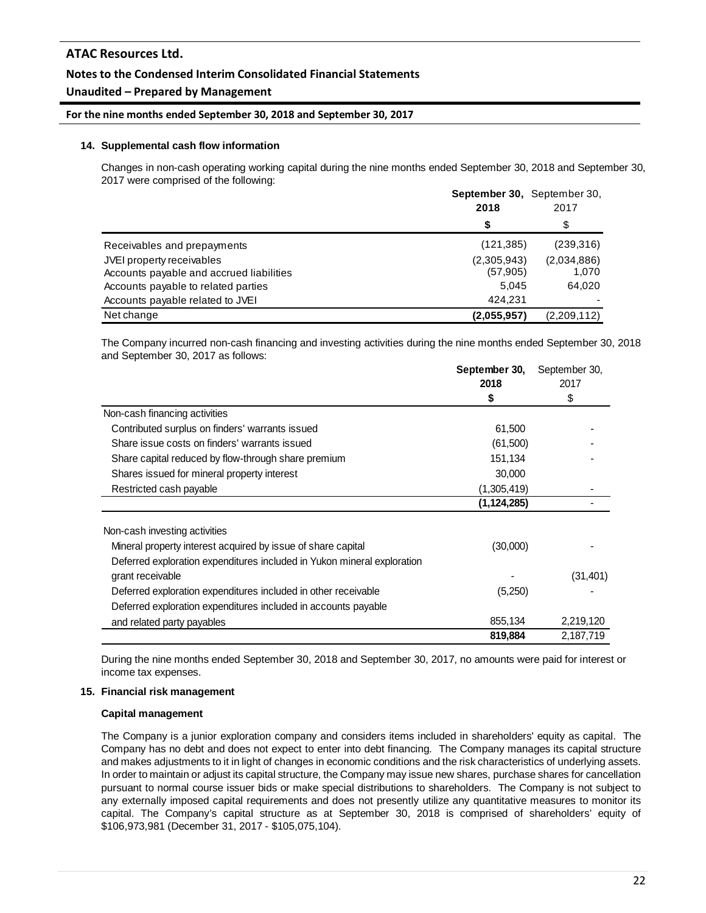## **Notes to the Condensed Interim Consolidated Financial Statements**

## **Unaudited – Prepared by Management**

#### **For the nine months ended September 30, 2018 and September 30, 2017**

#### **14. Supplemental cash flow information**

Changes in non-cash operating working capital during the nine months ended September 30, 2018 and September 30, 2017 were comprised of the following:

|                                          | <b>September 30.</b> September 30. |             |
|------------------------------------------|------------------------------------|-------------|
|                                          | 2018                               | 2017        |
|                                          | S                                  | \$          |
| Receivables and prepayments              | (121, 385)                         | (239,316)   |
| JVEI property receivables                | (2,305,943)                        | (2,034,886) |
| Accounts payable and accrued liabilities | (57, 905)                          | 1.070       |
| Accounts payable to related parties      | 5.045                              | 64,020      |
| Accounts payable related to JVEI         | 424.231                            |             |
| Net change                               | (2,055,957)                        | (2,209,112) |

The Company incurred non-cash financing and investing activities during the nine months ended September 30, 2018 and September 30, 2017 as follows:

|                                                                         | September 30, | September 30, |  |
|-------------------------------------------------------------------------|---------------|---------------|--|
|                                                                         | 2018          | 2017          |  |
|                                                                         | \$            | \$            |  |
| Non-cash financing activities                                           |               |               |  |
| Contributed surplus on finders' warrants issued                         | 61,500        |               |  |
| Share issue costs on finders' warrants issued                           | (61,500)      |               |  |
| Share capital reduced by flow-through share premium                     | 151,134       |               |  |
| Shares issued for mineral property interest                             | 30,000        |               |  |
| Restricted cash payable                                                 | (1,305,419)   |               |  |
|                                                                         | (1,124,285)   |               |  |
|                                                                         |               |               |  |
| Non-cash investing activities                                           |               |               |  |
| Mineral property interest acquired by issue of share capital            | (30,000)      |               |  |
| Deferred exploration expenditures included in Yukon mineral exploration |               |               |  |
| grant receivable                                                        |               | (31, 401)     |  |
| Deferred exploration expenditures included in other receivable          | (5,250)       |               |  |
| Deferred exploration expenditures included in accounts payable          |               |               |  |
| and related party payables                                              | 855,134       | 2,219,120     |  |
|                                                                         | 819,884       | 2,187,719     |  |

During the nine months ended September 30, 2018 and September 30, 2017, no amounts were paid for interest or income tax expenses.

#### **15. Financial risk management**

#### **Capital management**

The Company is a junior exploration company and considers items included in shareholders' equity as capital. The Company has no debt and does not expect to enter into debt financing. The Company manages its capital structure and makes adjustments to it in light of changes in economic conditions and the risk characteristics of underlying assets. In order to maintain or adjust its capital structure, the Company may issue new shares, purchase shares for cancellation pursuant to normal course issuer bids or make special distributions to shareholders. The Company is not subject to any externally imposed capital requirements and does not presently utilize any quantitative measures to monitor its capital. The Company's capital structure as at September 30, 2018 is comprised of shareholders' equity of \$106,973,981 (December 31, 2017 - \$105,075,104).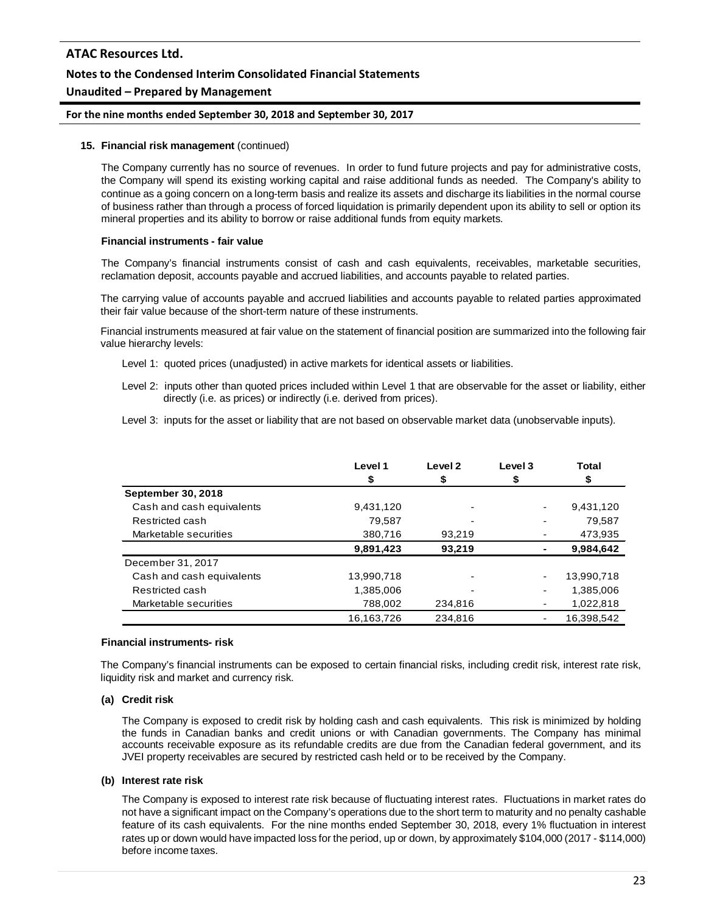#### **For the nine months ended September 30, 2018 and September 30, 2017**

#### **15. Financial risk management** (continued)

The Company currently has no source of revenues. In order to fund future projects and pay for administrative costs, the Company will spend its existing working capital and raise additional funds as needed. The Company's ability to continue as a going concern on a long-term basis and realize its assets and discharge its liabilities in the normal course of business rather than through a process of forced liquidation is primarily dependent upon its ability to sell or option its mineral properties and its ability to borrow or raise additional funds from equity markets.

#### **Financial instruments - fair value**

The Company's financial instruments consist of cash and cash equivalents, receivables, marketable securities, reclamation deposit, accounts payable and accrued liabilities, and accounts payable to related parties.

The carrying value of accounts payable and accrued liabilities and accounts payable to related parties approximated their fair value because of the short-term nature of these instruments.

Financial instruments measured at fair value on the statement of financial position are summarized into the following fair value hierarchy levels:

- Level 1: quoted prices (unadjusted) in active markets for identical assets or liabilities.
- Level 2: inputs other than quoted prices included within Level 1 that are observable for the asset or liability, either directly (i.e. as prices) or indirectly (i.e. derived from prices).
- Level 3: inputs for the asset or liability that are not based on observable market data (unobservable inputs).

|                           | Level 1    | Level <sub>2</sub> | Level 3                  | <b>Total</b> |
|---------------------------|------------|--------------------|--------------------------|--------------|
|                           | \$         | \$                 | \$                       |              |
| September 30, 2018        |            |                    |                          |              |
| Cash and cash equivalents | 9,431,120  |                    |                          | 9,431,120    |
| Restricted cash           | 79,587     |                    |                          | 79,587       |
| Marketable securities     | 380,716    | 93,219             |                          | 473,935      |
|                           | 9,891,423  | 93,219             |                          | 9,984,642    |
| December 31, 2017         |            |                    |                          |              |
| Cash and cash equivalents | 13,990,718 |                    | $\overline{\phantom{a}}$ | 13,990,718   |
| Restricted cash           | 1,385,006  |                    |                          | 1,385,006    |
| Marketable securities     | 788,002    | 234,816            |                          | 1,022,818    |
|                           | 16.163.726 | 234.816            |                          | 16.398.542   |

#### **Financial instruments- risk**

The Company's financial instruments can be exposed to certain financial risks, including credit risk, interest rate risk, liquidity risk and market and currency risk.

#### **(a) Credit risk**

The Company is exposed to credit risk by holding cash and cash equivalents. This risk is minimized by holding the funds in Canadian banks and credit unions or with Canadian governments. The Company has minimal accounts receivable exposure as its refundable credits are due from the Canadian federal government, and its JVEI property receivables are secured by restricted cash held or to be received by the Company.

#### **(b) Interest rate risk**

The Company is exposed to interest rate risk because of fluctuating interest rates. Fluctuations in market rates do not have a significant impact on the Company's operations due to the short term to maturity and no penalty cashable feature of its cash equivalents. For the nine months ended September 30, 2018, every 1% fluctuation in interest rates up or down would have impacted loss for the period, up or down, by approximately \$104,000 (2017 - \$114,000) before income taxes.